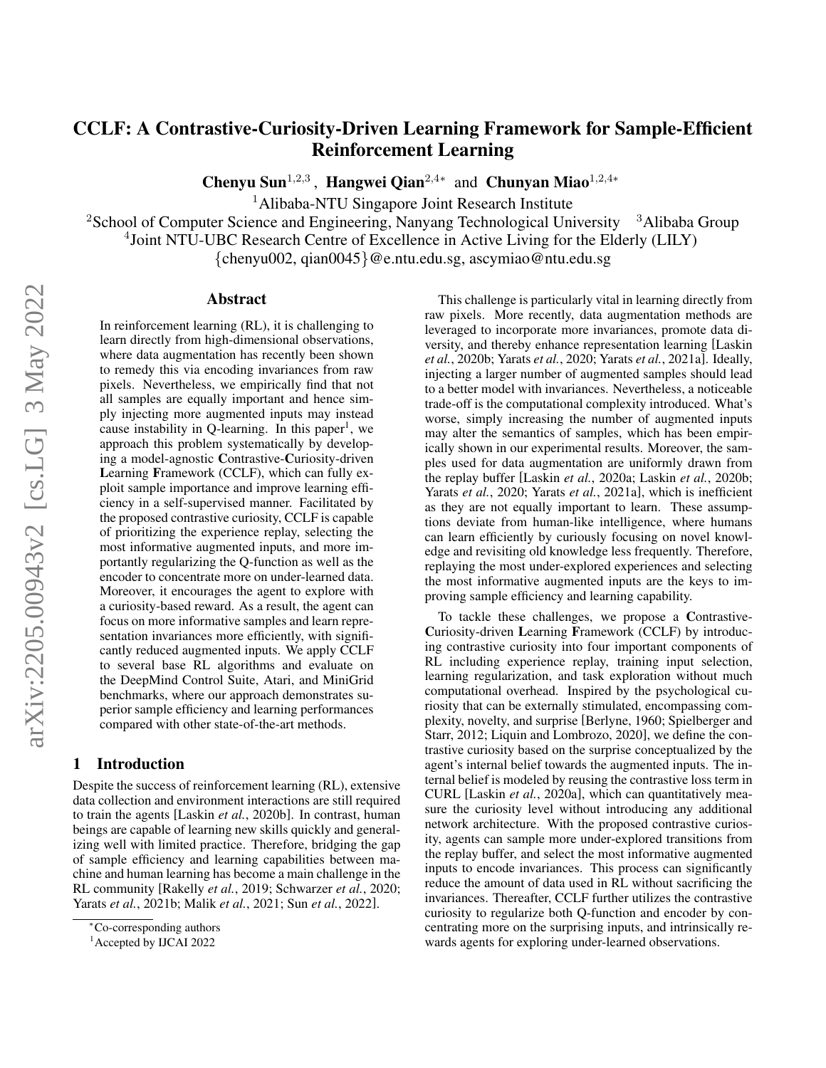# CCLF: A Contrastive-Curiosity-Driven Learning Framework for Sample-Efficient Reinforcement Learning

Chenyu Sun<sup>1,2,3</sup>, Hangwei Qian<sup>2,4∗</sup> and Chunyan Miao<sup>1,2,4</sup>\*

<sup>1</sup>Alibaba-NTU Singapore Joint Research Institute

<sup>2</sup>School of Computer Science and Engineering, Nanyang Technological University  $3$ Alibaba Group 4 Joint NTU-UBC Research Centre of Excellence in Active Living for the Elderly (LILY)

{chenyu002, qian0045}@e.ntu.edu.sg, ascymiao@ntu.edu.sg

### Abstract

In reinforcement learning (RL), it is challenging to learn directly from high-dimensional observations, where data augmentation has recently been shown to remedy this via encoding invariances from raw pixels. Nevertheless, we empirically find that not all samples are equally important and hence simply injecting more augmented inputs may instead cause instability in Q-learning. In this paper<sup>[1](#page-0-0)</sup>, we approach this problem systematically by developing a model-agnostic Contrastive-Curiosity-driven Learning Framework (CCLF), which can fully exploit sample importance and improve learning efficiency in a self-supervised manner. Facilitated by the proposed contrastive curiosity, CCLF is capable of prioritizing the experience replay, selecting the most informative augmented inputs, and more importantly regularizing the Q-function as well as the encoder to concentrate more on under-learned data. Moreover, it encourages the agent to explore with a curiosity-based reward. As a result, the agent can focus on more informative samples and learn representation invariances more efficiently, with significantly reduced augmented inputs. We apply CCLF to several base RL algorithms and evaluate on the DeepMind Control Suite, Atari, and MiniGrid benchmarks, where our approach demonstrates superior sample efficiency and learning performances compared with other state-of-the-art methods.

# 1 Introduction

Despite the success of reinforcement learning (RL), extensive data collection and environment interactions are still required to train the agents [Laskin *et al.*[, 2020b\]](#page-6-0). In contrast, human beings are capable of learning new skills quickly and generalizing well with limited practice. Therefore, bridging the gap of sample efficiency and learning capabilities between machine and human learning has become a main challenge in the RL community [\[Rakelly](#page-7-0) *et al.*, 2019; [Schwarzer](#page-7-1) *et al.*, 2020; Yarats *et al.*[, 2021b;](#page-7-2) Malik *et al.*[, 2021;](#page-6-1) Sun *et al.*[, 2022\]](#page-7-3).

This challenge is particularly vital in learning directly from raw pixels. More recently, data augmentation methods are leveraged to incorporate more invariances, promote data diversity, and thereby enhance representation learning [\[Laskin](#page-6-0) *et al.*[, 2020b;](#page-6-0) Yarats *et al.*[, 2020;](#page-7-4) Yarats *et al.*[, 2021a\]](#page-7-5). Ideally, injecting a larger number of augmented samples should lead to a better model with invariances. Nevertheless, a noticeable trade-off is the computational complexity introduced. What's worse, simply increasing the number of augmented inputs may alter the semantics of samples, which has been empirically shown in our experimental results. Moreover, the samples used for data augmentation are uniformly drawn from the replay buffer [Laskin *et al.*[, 2020a;](#page-6-2) Laskin *et al.*[, 2020b;](#page-6-0) Yarats *et al.*[, 2020;](#page-7-4) Yarats *et al.*[, 2021a\]](#page-7-5), which is inefficient as they are not equally important to learn. These assumptions deviate from human-like intelligence, where humans can learn efficiently by curiously focusing on novel knowledge and revisiting old knowledge less frequently. Therefore, replaying the most under-explored experiences and selecting the most informative augmented inputs are the keys to improving sample efficiency and learning capability.

To tackle these challenges, we propose a Contrastive-Curiosity-driven Learning Framework (CCLF) by introducing contrastive curiosity into four important components of RL including experience replay, training input selection, learning regularization, and task exploration without much computational overhead. Inspired by the psychological curiosity that can be externally stimulated, encompassing complexity, novelty, and surprise [\[Berlyne, 1960;](#page-6-3) [Spielberger and](#page-7-6) [Starr, 2012;](#page-7-6) [Liquin and Lombrozo, 2020\]](#page-6-4), we define the contrastive curiosity based on the surprise conceptualized by the agent's internal belief towards the augmented inputs. The internal belief is modeled by reusing the contrastive loss term in CURL [Laskin *et al.*[, 2020a\]](#page-6-2), which can quantitatively measure the curiosity level without introducing any additional network architecture. With the proposed contrastive curiosity, agents can sample more under-explored transitions from the replay buffer, and select the most informative augmented inputs to encode invariances. This process can significantly reduce the amount of data used in RL without sacrificing the invariances. Thereafter, CCLF further utilizes the contrastive curiosity to regularize both Q-function and encoder by concentrating more on the surprising inputs, and intrinsically rewards agents for exploring under-learned observations.

<sup>∗</sup>Co-corresponding authors

<span id="page-0-0"></span><sup>&</sup>lt;sup>1</sup> Accepted by IJCAI 2022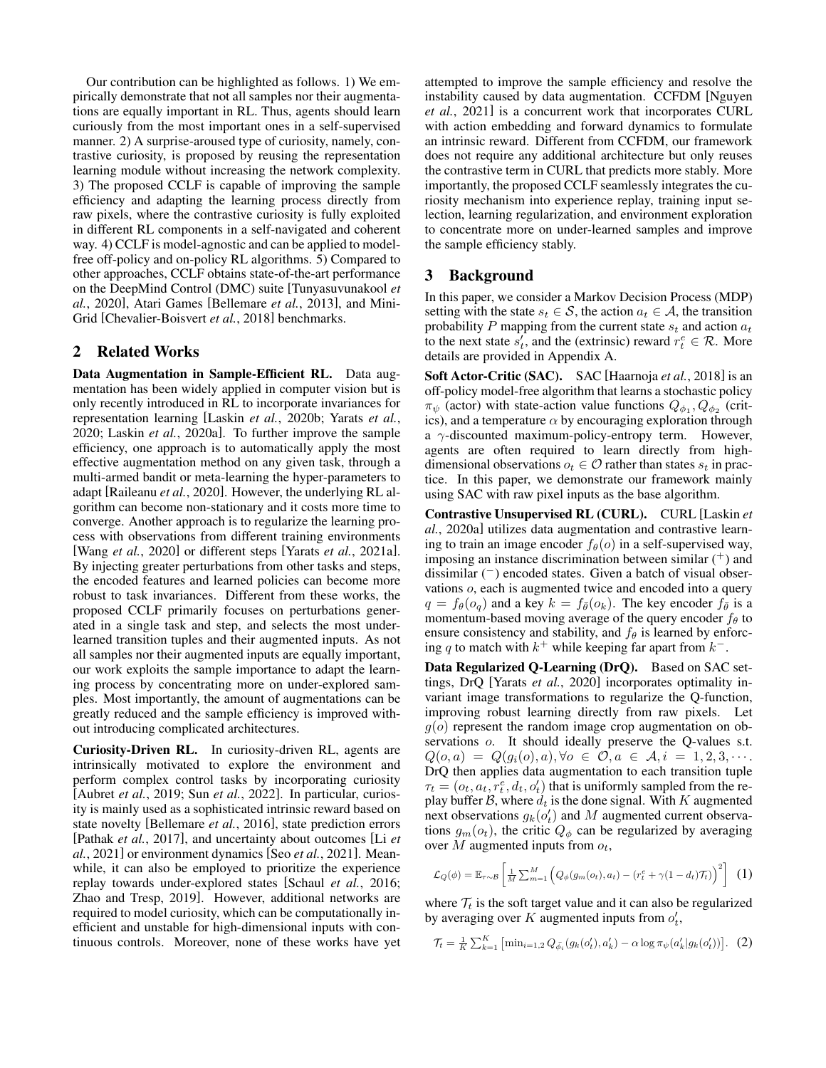Our contribution can be highlighted as follows. 1) We empirically demonstrate that not all samples nor their augmentations are equally important in RL. Thus, agents should learn curiously from the most important ones in a self-supervised manner. 2) A surprise-aroused type of curiosity, namely, contrastive curiosity, is proposed by reusing the representation learning module without increasing the network complexity. 3) The proposed CCLF is capable of improving the sample efficiency and adapting the learning process directly from raw pixels, where the contrastive curiosity is fully exploited in different RL components in a self-navigated and coherent way. 4) CCLF is model-agnostic and can be applied to modelfree off-policy and on-policy RL algorithms. 5) Compared to other approaches, CCLF obtains state-of-the-art performance on the DeepMind Control (DMC) suite [\[Tunyasuvunakool](#page-7-7) *et al.*[, 2020\]](#page-7-7), Atari Games [\[Bellemare](#page-6-5) *et al.*, 2013], and Mini-Grid [\[Chevalier-Boisvert](#page-6-6) *et al.*, 2018] benchmarks.

### 2 Related Works

Data Augmentation in Sample-Efficient RL. Data augmentation has been widely applied in computer vision but is only recently introduced in RL to incorporate invariances for representation learning [Laskin *et al.*[, 2020b;](#page-6-0) [Yarats](#page-7-4) *et al.*, [2020;](#page-7-4) Laskin *et al.*[, 2020a\]](#page-6-2). To further improve the sample efficiency, one approach is to automatically apply the most effective augmentation method on any given task, through a multi-armed bandit or meta-learning the hyper-parameters to adapt [\[Raileanu](#page-7-8) *et al.*, 2020]. However, the underlying RL algorithm can become non-stationary and it costs more time to converge. Another approach is to regularize the learning process with observations from different training environments [Wang *et al.*[, 2020\]](#page-7-9) or different steps [Yarats *et al.*[, 2021a\]](#page-7-5). By injecting greater perturbations from other tasks and steps, the encoded features and learned policies can become more robust to task invariances. Different from these works, the proposed CCLF primarily focuses on perturbations generated in a single task and step, and selects the most underlearned transition tuples and their augmented inputs. As not all samples nor their augmented inputs are equally important, our work exploits the sample importance to adapt the learning process by concentrating more on under-explored samples. Most importantly, the amount of augmentations can be greatly reduced and the sample efficiency is improved without introducing complicated architectures.

Curiosity-Driven RL. In curiosity-driven RL, agents are intrinsically motivated to explore the environment and perform complex control tasks by incorporating curiosity [\[Aubret](#page-6-7) *et al.*, 2019; Sun *et al.*[, 2022\]](#page-7-3). In particular, curiosity is mainly used as a sophisticated intrinsic reward based on state novelty [\[Bellemare](#page-6-8) *et al.*, 2016], state prediction errors [\[Pathak](#page-7-10) *et al.*, 2017], and uncertainty about outcomes [\[Li](#page-6-9) *et al.*[, 2021\]](#page-6-9) or environment dynamics [Seo *et al.*[, 2021\]](#page-7-11). Meanwhile, it can also be employed to prioritize the experience replay towards under-explored states [\[Schaul](#page-7-12) *et al.*, 2016; [Zhao and Tresp, 2019\]](#page-7-13). However, additional networks are required to model curiosity, which can be computationally inefficient and unstable for high-dimensional inputs with continuous controls. Moreover, none of these works have yet attempted to improve the sample efficiency and resolve the instability caused by data augmentation. CCFDM [\[Nguyen](#page-7-14) *et al.*[, 2021\]](#page-7-14) is a concurrent work that incorporates CURL with action embedding and forward dynamics to formulate an intrinsic reward. Different from CCFDM, our framework does not require any additional architecture but only reuses the contrastive term in CURL that predicts more stably. More importantly, the proposed CCLF seamlessly integrates the curiosity mechanism into experience replay, training input selection, learning regularization, and environment exploration to concentrate more on under-learned samples and improve the sample efficiency stably.

### 3 Background

In this paper, we consider a Markov Decision Process (MDP) setting with the state  $s_t \in \mathcal{S}$ , the action  $a_t \in \mathcal{A}$ , the transition probability P mapping from the current state  $s_t$  and action  $a_t$ to the next state  $s_t^i$ , and the (extrinsic) reward  $r_t^e \in \mathcal{R}$ . More details are provided in Appendix [A.](#page-8-0)

Soft Actor-Critic (SAC). SAC [\[Haarnoja](#page-6-10) *et al.*, 2018] is an off-policy model-free algorithm that learns a stochastic policy  $\pi_{\psi}$  (actor) with state-action value functions  $Q_{\phi_1}, Q_{\phi_2}$  (critics), and a temperature  $\alpha$  by encouraging exploration through a  $\gamma$ -discounted maximum-policy-entropy term. However, agents are often required to learn directly from highdimensional observations  $o_t \in \mathcal{O}$  rather than states  $s_t$  in practice. In this paper, we demonstrate our framework mainly using SAC with raw pixel inputs as the base algorithm.

Contrastive Unsupervised RL (CURL). CURL [\[Laskin](#page-6-2) *et al.*[, 2020a\]](#page-6-2) utilizes data augmentation and contrastive learning to train an image encoder  $f_{\theta}(o)$  in a self-supervised way, imposing an instance discrimination between similar  $(+)$  and dissimilar  $($ <sup>-</sup> $)$  encoded states. Given a batch of visual observations o, each is augmented twice and encoded into a query  $q = f_{\theta}(o_q)$  and a key  $k = f_{\bar{\theta}}(o_k)$ . The key encoder  $f_{\bar{\theta}}$  is a momentum-based moving average of the query encoder  $f_{\theta}$  to ensure consistency and stability, and  $f_\theta$  is learned by enforcing q to match with  $k^+$  while keeping far apart from  $k^-$ .

Data Regularized Q-Learning (DrQ). Based on SAC settings, DrQ [Yarats *et al.*[, 2020\]](#page-7-4) incorporates optimality invariant image transformations to regularize the Q-function, improving robust learning directly from raw pixels. Let  $g(o)$  represent the random image crop augmentation on observations  $o$ . It should ideally preserve the Q-values s.t.  $Q(o, a) = Q(g_i(o), a), \forall o \in \mathcal{O}, a \in \mathcal{A}, i = 1, 2, 3, \cdots$ DrQ then applies data augmentation to each transition tuple  $\tau_t = (o_t, a_t, r_t^e, d_t, o_t)$  that is uniformly sampled from the replay buffer B, where  $d_t$  is the done signal. With K augmented next observations  $g_k(o_t)$  and M augmented current observations  $g_m(o_t)$ , the critic  $Q_\phi$  can be regularized by averaging over M augmented inputs from  $o_t$ ,

<span id="page-1-1"></span>
$$
\mathcal{L}_Q(\phi) = \mathbb{E}_{\tau \sim \mathcal{B}} \left[ \frac{1}{M} \sum_{m=1}^M \left( Q_{\phi}(g_m(o_t), a_t) - (r_t^e + \gamma (1 - d_t) \mathcal{T}_t) \right)^2 \right] \tag{1}
$$

where  $\mathcal{T}_t$  is the soft target value and it can also be regularized by averaging over K augmented inputs from  $o'_t$ ,

<span id="page-1-0"></span>
$$
\mathcal{T}_t = \frac{1}{K} \sum_{k=1}^K \left[ \min_{i=1,2} Q_{\bar{\phi}_i}(g_k(o'_t), a'_k) - \alpha \log \pi_{\psi}(a'_k | g_k(o'_t)) \right]. \tag{2}
$$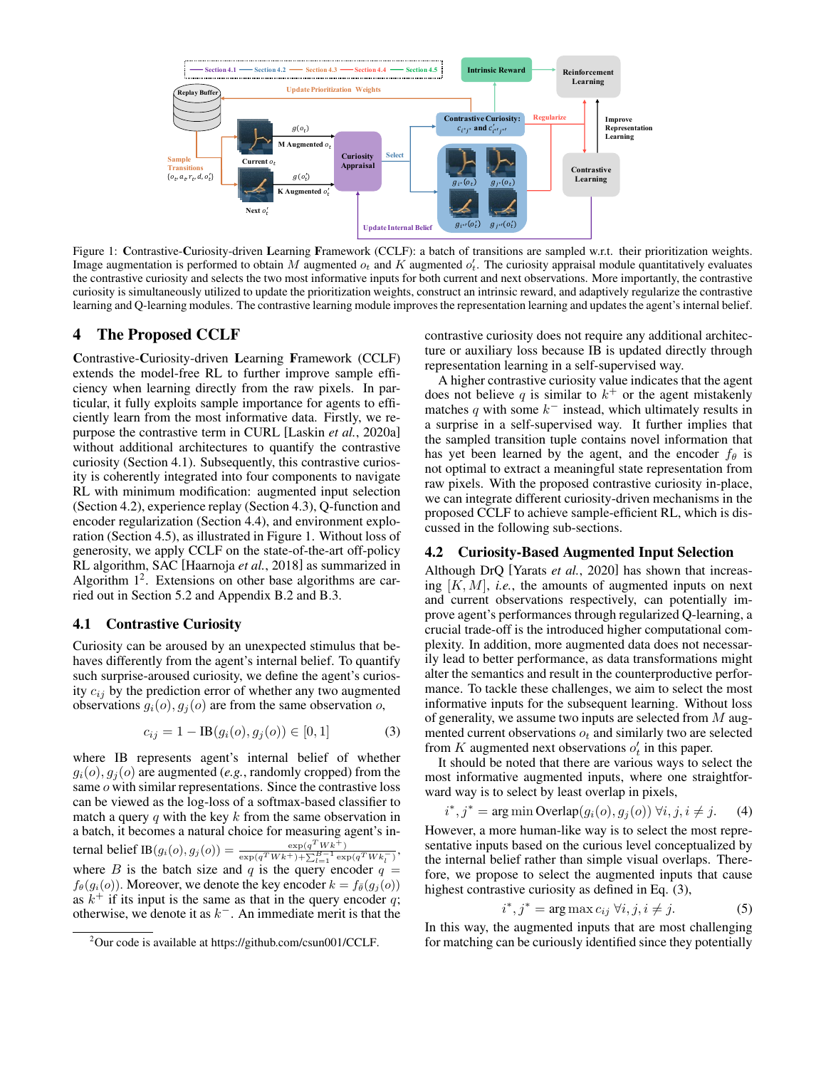<span id="page-2-2"></span>

Figure 1: Contrastive-Curiosity-driven Learning Framework (CCLF): a batch of transitions are sampled w.r.t. their prioritization weights. Image augmentation is performed to obtain M augmented  $o_t$  and K augmented  $o'_t$ . The curiosity appraisal module quantitatively evaluates the contrastive curiosity and selects the two most informative inputs for both current and next observations. More importantly, the contrastive curiosity is simultaneously utilized to update the prioritization weights, construct an intrinsic reward, and adaptively regularize the contrastive learning and Q-learning modules. The contrastive learning module improves the representation learning and updates the agent's internal belief.

### 4 The Proposed CCLF

Contrastive-Curiosity-driven Learning Framework (CCLF) extends the model-free RL to further improve sample efficiency when learning directly from the raw pixels. In particular, it fully exploits sample importance for agents to efficiently learn from the most informative data. Firstly, we repurpose the contrastive term in CURL [Laskin *et al.*[, 2020a\]](#page-6-2) without additional architectures to quantify the contrastive curiosity (Section [4.1\)](#page-2-0). Subsequently, this contrastive curiosity is coherently integrated into four components to navigate RL with minimum modification: augmented input selection (Section [4.2\)](#page-2-1), experience replay (Section [4.3\)](#page-3-0), Q-function and encoder regularization (Section [4.4\)](#page-3-1), and environment exploration (Section [4.5\)](#page-3-2), as illustrated in Figure [1.](#page-2-2) Without loss of generosity, we apply CCLF on the state-of-the-art off-policy RL algorithm, SAC [\[Haarnoja](#page-6-10) *et al.*, 2018] as summarized in Algorithm  $1^2$  $1^2$ . Extensions on other base algorithms are carried out in Section [5.2](#page-5-0) and Appendix [B.2](#page-10-0) and [B.3.](#page-11-0)

#### <span id="page-2-0"></span>4.1 Contrastive Curiosity

Curiosity can be aroused by an unexpected stimulus that behaves differently from the agent's internal belief. To quantify such surprise-aroused curiosity, we define the agent's curiosity  $c_{ij}$  by the prediction error of whether any two augmented observations  $g_i(o)$ ,  $g_j(o)$  are from the same observation o,

$$
c_{ij} = 1 - \text{IB}(g_i(o), g_j(o)) \in [0, 1] \tag{3}
$$

where IB represents agent's internal belief of whether  $g_i(o), g_j(o)$  are augmented (*e.g.*, randomly cropped) from the same o with similar representations. Since the contrastive loss can be viewed as the log-loss of a softmax-based classifier to match a query  $q$  with the key  $k$  from the same observation in a batch, it becomes a natural choice for measuring agent's internal belief IB $(g_i(o), g_j(o)) = \frac{\exp(q^T W k^+)}{(T W l^+)(R B^T)^{B-1}}$  $\frac{\exp(q(Wk^+))}{\exp(q^TWk^+) + \sum_{l=1}^{B-1} \exp(q^TWk_l^-)},$ where B is the batch size and q is the query encoder  $q =$  $f_{\theta}(g_i(o))$ . Moreover, we denote the key encoder  $k = f_{\theta}(g_i(o))$ as  $k^+$  if its input is the same as that in the query encoder q; otherwise, we denote it as  $k^-$ . An immediate merit is that the

contrastive curiosity does not require any additional architecture or auxiliary loss because IB is updated directly through representation learning in a self-supervised way.

A higher contrastive curiosity value indicates that the agent does not believe q is similar to  $k^+$  or the agent mistakenly matches q with some  $k^-$  instead, which ultimately results in a surprise in a self-supervised way. It further implies that the sampled transition tuple contains novel information that has yet been learned by the agent, and the encoder  $f_{\theta}$  is not optimal to extract a meaningful state representation from raw pixels. With the proposed contrastive curiosity in-place, we can integrate different curiosity-driven mechanisms in the proposed CCLF to achieve sample-efficient RL, which is discussed in the following sub-sections.

#### <span id="page-2-1"></span>4.2 Curiosity-Based Augmented Input Selection

Although DrQ [Yarats *et al.*[, 2020\]](#page-7-4) has shown that increasing [K, M], *i.e.*, the amounts of augmented inputs on next and current observations respectively, can potentially improve agent's performances through regularized Q-learning, a crucial trade-off is the introduced higher computational complexity. In addition, more augmented data does not necessarily lead to better performance, as data transformations might alter the semantics and result in the counterproductive performance. To tackle these challenges, we aim to select the most informative inputs for the subsequent learning. Without loss of generality, we assume two inputs are selected from  $M$  augmented current observations  $o_t$  and similarly two are selected from K augmented next observations  $o'_t$  in this paper.

<span id="page-2-4"></span>It should be noted that there are various ways to select the most informative augmented inputs, where one straightforward way is to select by least overlap in pixels,

$$
i^*, j^* = \arg\min\text{Overallap}(g_i(o), g_j(o)) \,\forall i, j, i \neq j. \tag{4}
$$

However, a more human-like way is to select the most representative inputs based on the curious level conceptualized by the internal belief rather than simple visual overlaps. Therefore, we propose to select the augmented inputs that cause highest contrastive curiosity as defined in Eq. [\(3\)](#page-2-4),

<span id="page-2-6"></span><span id="page-2-5"></span>
$$
i^*, j^* = \arg \max c_{ij} \,\forall i, j, i \neq j. \tag{5}
$$

In this way, the augmented inputs that are most challenging for matching can be curiously identified since they potentially

<span id="page-2-3"></span><sup>2</sup>Our code is available at [https://github.com/csun001/CCLF.](https://github.com/csun001/CCLF)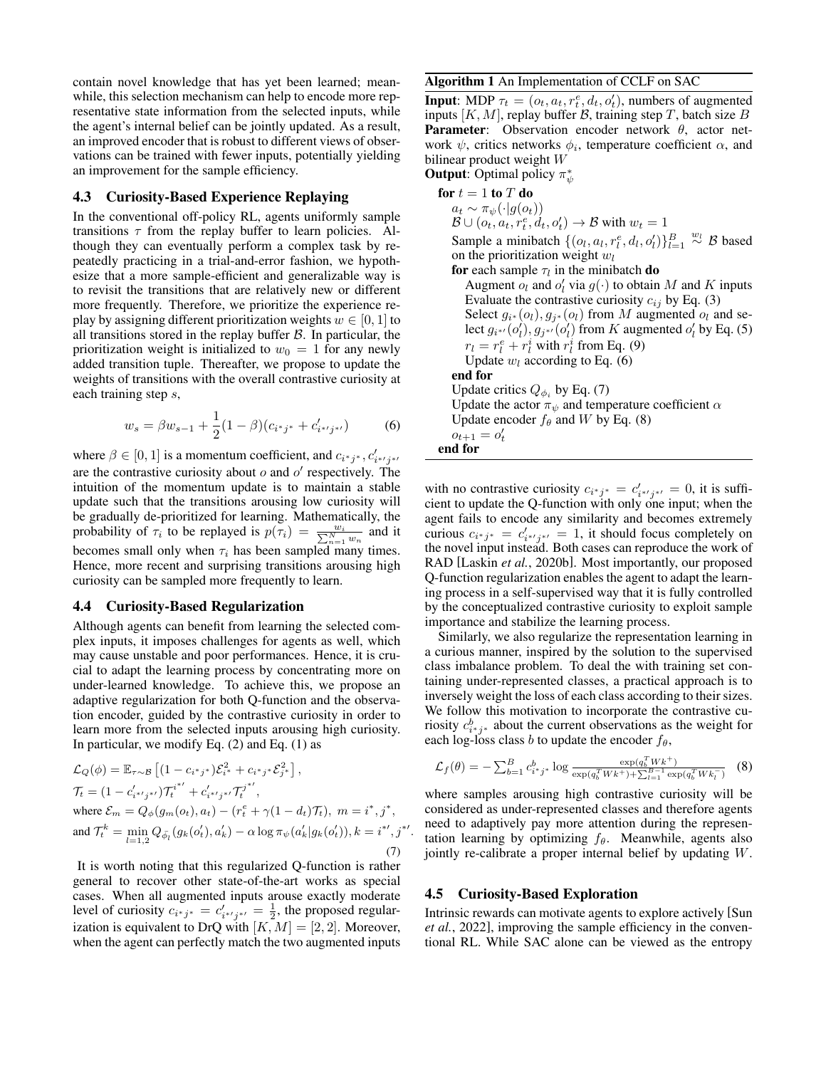contain novel knowledge that has yet been learned; meanwhile, this selection mechanism can help to encode more representative state information from the selected inputs, while the agent's internal belief can be jointly updated. As a result, an improved encoder that is robust to different views of observations can be trained with fewer inputs, potentially yielding an improvement for the sample efficiency.

### <span id="page-3-0"></span>4.3 Curiosity-Based Experience Replaying

In the conventional off-policy RL, agents uniformly sample transitions  $\tau$  from the replay buffer to learn policies. Although they can eventually perform a complex task by repeatedly practicing in a trial-and-error fashion, we hypothesize that a more sample-efficient and generalizable way is to revisit the transitions that are relatively new or different more frequently. Therefore, we prioritize the experience replay by assigning different prioritization weights  $w \in [0, 1]$  to all transitions stored in the replay buffer  $B$ . In particular, the prioritization weight is initialized to  $w_0 = 1$  for any newly added transition tuple. Thereafter, we propose to update the weights of transitions with the overall contrastive curiosity at each training step s,

<span id="page-3-4"></span>
$$
w_s = \beta w_{s-1} + \frac{1}{2}(1-\beta)(c_{i^*j^*} + c'_{i^{*'}j^{*'}})
$$
 (6)

where  $\beta \in [0, 1]$  is a momentum coefficient, and  $c_{i^*j^*}, c'_{i^{*'}j^{*'}}$ are the contrastive curiosity about  $o$  and  $o'$  respectively. The intuition of the momentum update is to maintain a stable update such that the transitions arousing low curiosity will be gradually de-prioritized for learning. Mathematically, the probability of  $\tau_i$  to be replayed is  $p(\tau_i) = \frac{w_i}{\sum_{n=1}^{N} w_n}$  and it becomes small only when  $\tau_i$  has been sampled many times. Hence, more recent and surprising transitions arousing high curiosity can be sampled more frequently to learn.

#### <span id="page-3-1"></span>4.4 Curiosity-Based Regularization

Although agents can benefit from learning the selected complex inputs, it imposes challenges for agents as well, which may cause unstable and poor performances. Hence, it is crucial to adapt the learning process by concentrating more on under-learned knowledge. To achieve this, we propose an adaptive regularization for both Q-function and the observation encoder, guided by the contrastive curiosity in order to learn more from the selected inputs arousing high curiosity. In particular, we modify Eq.  $(2)$  and Eq.  $(1)$  as

$$
\mathcal{L}_{Q}(\phi) = \mathbb{E}_{\tau \sim B} \left[ (1 - c_{i^*j^*}) \mathcal{E}_{i^*}^2 + c_{i^*j^*} \mathcal{E}_{j^*}^2 \right],
$$
  
\n
$$
\mathcal{T}_t = (1 - c'_{i^{*j}j^{*}}) \mathcal{T}_t^{i^{*'}} + c'_{i^{*j}j^{*}} \mathcal{T}_t^{j^{*'}} ,
$$
  
\nwhere  $\mathcal{E}_m = Q_{\phi}(g_m(o_t), a_t) - (r_t^e + \gamma (1 - d_t) \mathcal{T}_t), m = i^*, j^*,$   
\nand  $\mathcal{T}_t^k = \min_{l=1,2} Q_{\bar{\phi}_l}(g_k(o'_t), a'_k) - \alpha \log \pi_{\psi}(a'_k|g_k(o'_t)), k = i^{*'}, j^{*'}.$   
\n(7)

It is worth noting that this regularized Q-function is rather general to recover other state-of-the-art works as special cases. When all augmented inputs arouse exactly moderate level of curiosity  $c_{i^*j^*} = c'_{i^{*'}j^{*'}} = \frac{1}{2}$ , the proposed regularization is equivalent to DrQ with  $[K, M] = [2, 2]$ . Moreover, when the agent can perfectly match the two augmented inputs

#### <span id="page-3-3"></span>Algorithm 1 An Implementation of CCLF on SAC

**Input**: MDP  $\tau_t = (o_t, a_t, r_t^e, d_t, o_t^t)$ , numbers of augmented inputs  $[K, M]$ , replay buffer  $B$ , training step T, batch size B **Parameter:** Observation encoder network  $\theta$ , actor network  $\psi$ , critics networks  $\phi_i$ , temperature coefficient  $\alpha$ , and bilinear product weight W

**Output:** Optimal policy  $\pi^*_{\psi}$ 

for  $t = 1$  to  $T$  do  $a_t \sim \pi_{\psi}(\cdot|g(o_t))$  $\mathcal{B} \cup (o_t, a_t, r_t^e, d_t, o_t') \rightarrow \mathcal{B}$  with  $w_t = 1$ Sample a minibatch  $\{(o_l, a_l, r_l^e, d_l, o_l')\}_{l=1}^B \overset{w_l}{\sim} \mathcal{B}$  based on the prioritization weight  $w_l$ for each sample  $\tau_l$  in the minibatch do Augment  $o_l$  and  $o'_l$  via  $g(\cdot)$  to obtain M and K inputs Evaluate the contrastive curiosity  $c_{ij}$  by Eq. [\(3\)](#page-2-4) Select  $g_{i^*}(o_l), g_{j^*}(o_l)$  from M augmented  $o_l$  and select  $g_{i^{*}}(o'_{l}), g_{j^{*}}(o'_{l})$  from K augmented  $o'_{l}$  by Eq. [\(5\)](#page-2-5)  $r_l = r_l^e + r_l^i$  with  $r_l^i$  from Eq. [\(9\)](#page-4-0) Update  $w_l$  according to Eq. [\(6\)](#page-3-4) end for Update critics  $Q_{\phi_i}$  by Eq. [\(7\)](#page-3-5) Update the actor  $\pi_{\psi}$  and temperature coefficient  $\alpha$ Update encoder  $f_{\theta}$  and W by Eq. [\(8\)](#page-3-6)  $o_{t+1} = o'_t$ end for

with no contrastive curiosity  $c_{i^*j^*} = c'_{i^{*j}j^{*'}} = 0$ , it is sufficient to update the Q-function with only one input; when the agent fails to encode any similarity and becomes extremely curious  $c_{i^*j^*} = c'_{i^{*'}j^{*'}} = 1$ , it should focus completely on the novel input instead. Both cases can reproduce the work of RAD [Laskin *et al.*[, 2020b\]](#page-6-0). Most importantly, our proposed Q-function regularization enables the agent to adapt the learning process in a self-supervised way that it is fully controlled by the conceptualized contrastive curiosity to exploit sample importance and stabilize the learning process.

Similarly, we also regularize the representation learning in a curious manner, inspired by the solution to the supervised class imbalance problem. To deal the with training set containing under-represented classes, a practical approach is to inversely weight the loss of each class according to their sizes. We follow this motivation to incorporate the contrastive curiosity  $c_{i^*j^*}^b$  about the current observations as the weight for each log-loss class b to update the encoder  $f_{\theta}$ ,

<span id="page-3-6"></span><span id="page-3-5"></span>
$$
\mathcal{L}_f(\theta) = -\sum_{b=1}^B c_{i^*j^*}^b \log \frac{\exp(q_b^T W k^+)}{\exp(q_b^T W k^+) + \sum_{l=1}^{B-1} \exp(q_b^T W k_l^-)} \quad (8)
$$

where samples arousing high contrastive curiosity will be considered as under-represented classes and therefore agents need to adaptively pay more attention during the representation learning by optimizing  $f_\theta$ . Meanwhile, agents also jointly re-calibrate a proper internal belief by updating W.

#### <span id="page-3-2"></span>4.5 Curiosity-Based Exploration

Intrinsic rewards can motivate agents to explore actively [\[Sun](#page-7-3) *et al.*[, 2022\]](#page-7-3), improving the sample efficiency in the conventional RL. While SAC alone can be viewed as the entropy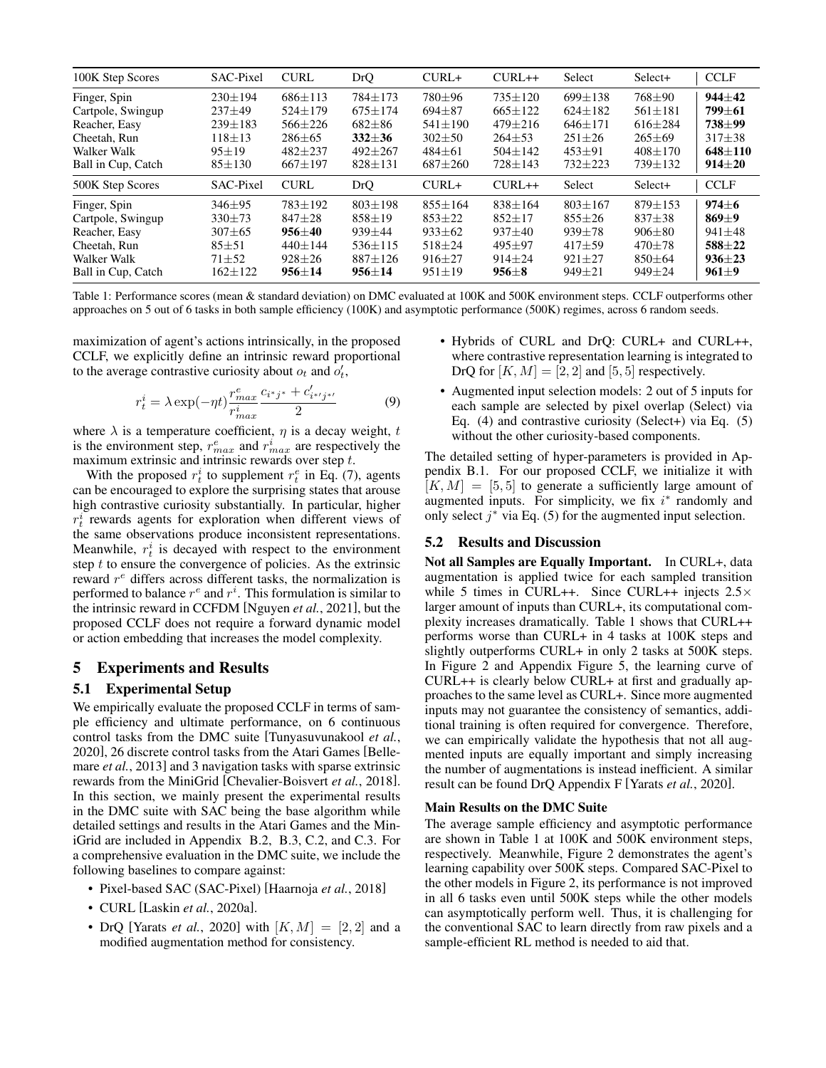<span id="page-4-1"></span>

| 100K Step Scores   | SAC-Pixel     | <b>CURL</b>   | DrQ           | $CURL+$       | $CURL++$      | Select        | Select+       | <b>CCLF</b>  |
|--------------------|---------------|---------------|---------------|---------------|---------------|---------------|---------------|--------------|
| Finger, Spin       | $230 \pm 194$ | $686 + 113$   | 784±173       | 780±96        | $735 \pm 120$ | $699+138$     | 768±90        | $944 + 42$   |
| Cartpole, Swingup  | $237 + 49$    | $524 + 179$   | $675 + 174$   | $694 + 87$    | $665+122$     | $624+182$     | $561 \pm 181$ | $799 + 61$   |
| Reacher, Easy      | $239+183$     | $566 + 226$   | $682 + 86$    | $541 + 190$   | $479 + 216$   | $646+171$     | $616 + 284$   | $738 + 99$   |
| Cheetah, Run       | $118 + 13$    | $286 \pm 65$  | $332 + 36$    | $302 + 50$    | $264\pm53$    | $251 \pm 26$  | $265 \pm 69$  | $317 + 38$   |
| Walker Walk        | $95 + 19$     | $482 + 237$   | $492 + 267$   | $484 \pm 61$  | $504 \pm 142$ | $453 + 91$    | $408 + 170$   | $648 + 110$  |
| Ball in Cup, Catch | $85 \pm 130$  | $667 \pm 197$ | $828 \pm 131$ | $687 + 260$   | $728 \pm 143$ | $732 + 223$   | $739 + 132$   | $914 \pm 20$ |
| 500K Step Scores   | SAC-Pixel     | <b>CURL</b>   | <b>DrQ</b>    | $CURL+$       | $CURL++$      | Select        | Select+       | <b>CCLF</b>  |
| Finger, Spin       | $346 \pm 95$  | $783 + 192$   | $803 + 198$   | $855 \pm 164$ | $838 \pm 164$ | $803 \pm 167$ | $879 + 153$   | $974 + 6$    |
| Cartpole, Swingup  | $330+73$      | $847 + 28$    | $858 + 19$    | $853 \pm 22$  | $852+17$      | $855 + 26$    | $837 + 38$    | $869+9$      |
| Reacher, Easy      | $307 + 65$    | 956±40        | $939 + 44$    | $933 \pm 62$  | $937 + 40$    | $939 + 78$    | $906 \pm 80$  | $941 + 48$   |
| Cheetah, Run       | $85 + 51$     | $440 + 144$   | $536 \pm 115$ | $518 + 24$    | $495 + 97$    | $417 + 59$    | $470 + 78$    | $588 + 22$   |
| Walker Walk        | $71 + 52$     | $928 + 26$    | $887 + 126$   | $916 + 27$    | $914 + 24$    | $921 + 27$    | $850 + 64$    | $936 + 23$   |
| Ball in Cup, Catch | 162±122       | 956 $\pm$ 14  | 956 $\pm$ 14  | $951 \pm 19$  | $956 \pm 8$   | $949 \pm 21$  | 949±24        | $961 \pm 9$  |

Table 1: Performance scores (mean & standard deviation) on DMC evaluated at 100K and 500K environment steps. CCLF outperforms other approaches on 5 out of 6 tasks in both sample efficiency (100K) and asymptotic performance (500K) regimes, across 6 random seeds.

maximization of agent's actions intrinsically, in the proposed CCLF, we explicitly define an intrinsic reward proportional to the average contrastive curiosity about  $o_t$  and  $o'_t$ ,

$$
r_t^i = \lambda \exp(-\eta t) \frac{r_{max}^e}{r_{max}^i} \frac{c_{i^*j^*} + c'_{i^{*'}j^{*'}}}{2}
$$
(9)

where  $\lambda$  is a temperature coefficient,  $\eta$  is a decay weight, t is the environment step,  $r_{max}^e$  and  $r_{max}^i$  are respectively the maximum extrinsic and intrinsic rewards over step t.

With the proposed  $r_t^i$  to supplement  $r_t^e$  in Eq. [\(7\)](#page-3-5), agents can be encouraged to explore the surprising states that arouse high contrastive curiosity substantially. In particular, higher  $r_t^i$  rewards agents for exploration when different views of the same observations produce inconsistent representations. Meanwhile,  $r_t^i$  is decayed with respect to the environment step  $t$  to ensure the convergence of policies. As the extrinsic reward  $r<sup>e</sup>$  differs across different tasks, the normalization is performed to balance  $r^e$  and  $r^i$ . This formulation is similar to the intrinsic reward in CCFDM [\[Nguyen](#page-7-14) *et al.*, 2021], but the proposed CCLF does not require a forward dynamic model or action embedding that increases the model complexity.

### 5 Experiments and Results

### 5.1 Experimental Setup

We empirically evaluate the proposed CCLF in terms of sample efficiency and ultimate performance, on 6 continuous control tasks from the DMC suite [\[Tunyasuvunakool](#page-7-7) *et al.*, [2020\]](#page-7-7), 26 discrete control tasks from the Atari Games [\[Belle](#page-6-5)mare *et al.*[, 2013\]](#page-6-5) and 3 navigation tasks with sparse extrinsic rewards from the MiniGrid [\[Chevalier-Boisvert](#page-6-6) *et al.*, 2018]. In this section, we mainly present the experimental results in the DMC suite with SAC being the base algorithm while detailed settings and results in the Atari Games and the MiniGrid are included in Appendix [B.2,](#page-10-0) [B.3,](#page-11-0) [C.2,](#page-12-0) and [C.3.](#page-14-0) For a comprehensive evaluation in the DMC suite, we include the following baselines to compare against:

- Pixel-based SAC (SAC-Pixel) [\[Haarnoja](#page-6-10) *et al.*, 2018]
- CURL [Laskin *et al.*[, 2020a\]](#page-6-2).
- DrQ [Yarats *et al.*[, 2020\]](#page-7-4) with  $[K, M] = [2, 2]$  and a modified augmentation method for consistency.
- <span id="page-4-0"></span>• Hybrids of CURL and DrQ: CURL+ and CURL++, where contrastive representation learning is integrated to DrQ for  $[K, M] = [2, 2]$  and  $[5, 5]$  respectively.
- Augmented input selection models: 2 out of 5 inputs for each sample are selected by pixel overlap (Select) via Eq. [\(4\)](#page-2-6) and contrastive curiosity (Select+) via Eq. [\(5\)](#page-2-5) without the other curiosity-based components.

The detailed setting of hyper-parameters is provided in Appendix [B.1.](#page-9-0) For our proposed CCLF, we initialize it with  $[K, M] = [5, 5]$  to generate a sufficiently large amount of augmented inputs. For simplicity, we fix  $i^*$  randomly and only select  $j^*$  via Eq. [\(5\)](#page-2-5) for the augmented input selection.

#### 5.2 Results and Discussion

Not all Samples are Equally Important. In CURL+, data augmentation is applied twice for each sampled transition while 5 times in CURL++. Since CURL++ injects  $2.5 \times$ larger amount of inputs than CURL+, its computational complexity increases dramatically. Table [1](#page-4-1) shows that CURL++ performs worse than CURL+ in 4 tasks at 100K steps and slightly outperforms CURL+ in only 2 tasks at 500K steps. In Figure [2](#page-5-1) and Appendix Figure [5,](#page-13-0) the learning curve of CURL++ is clearly below CURL+ at first and gradually approaches to the same level as CURL+. Since more augmented inputs may not guarantee the consistency of semantics, additional training is often required for convergence. Therefore, we can empirically validate the hypothesis that not all augmented inputs are equally important and simply increasing the number of augmentations is instead inefficient. A similar result can be found DrQ Appendix F [\[Yarats](#page-7-4) *et al.*, 2020].

#### Main Results on the DMC Suite

The average sample efficiency and asymptotic performance are shown in Table [1](#page-4-1) at 100K and 500K environment steps, respectively. Meanwhile, Figure [2](#page-5-1) demonstrates the agent's learning capability over 500K steps. Compared SAC-Pixel to the other models in Figure [2,](#page-5-1) its performance is not improved in all 6 tasks even until 500K steps while the other models can asymptotically perform well. Thus, it is challenging for the conventional SAC to learn directly from raw pixels and a sample-efficient RL method is needed to aid that.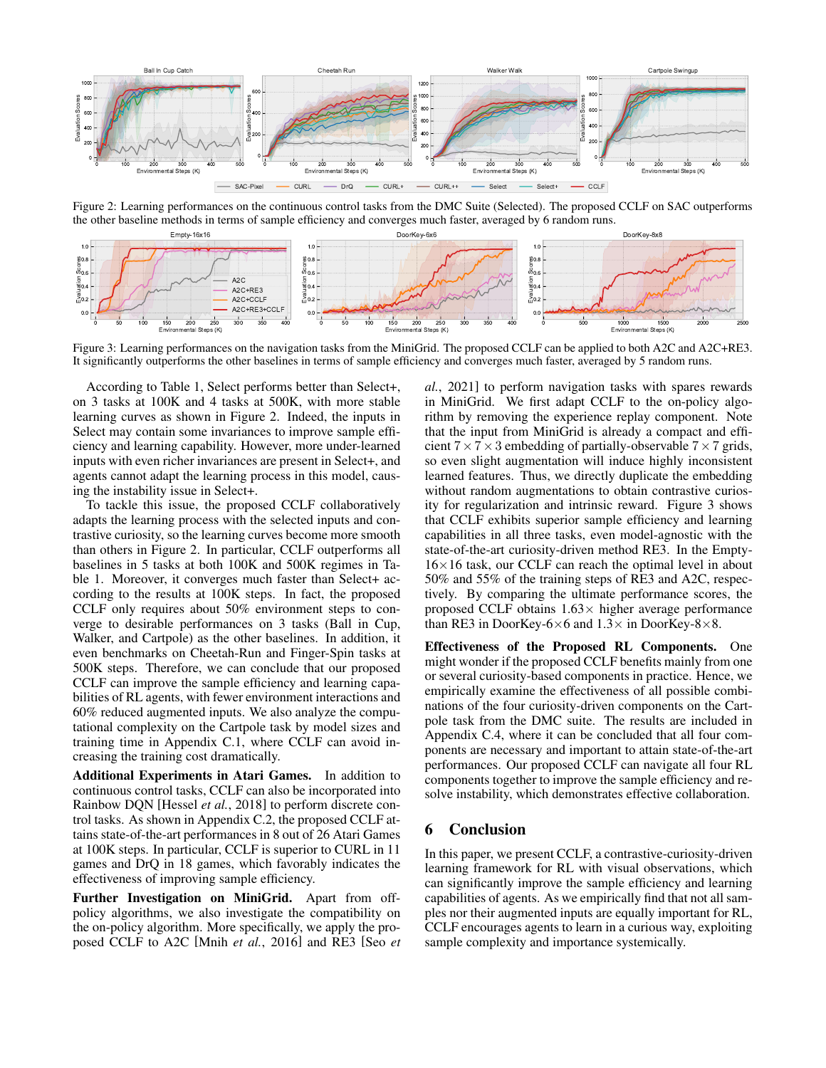<span id="page-5-1"></span>

Figure 2: Learning performances on the continuous control tasks from the DMC Suite (Selected). The proposed CCLF on SAC outperforms the other baseline methods in terms of sample efficiency and converges much faster, averaged by 6 random runs.

<span id="page-5-2"></span>

Figure 3: Learning performances on the navigation tasks from the MiniGrid. The proposed CCLF can be applied to both A2C and A2C+RE3. It significantly outperforms the other baselines in terms of sample efficiency and converges much faster, averaged by 5 random runs.

According to Table [1,](#page-4-1) Select performs better than Select+, on 3 tasks at 100K and 4 tasks at 500K, with more stable learning curves as shown in Figure [2.](#page-5-1) Indeed, the inputs in Select may contain some invariances to improve sample efficiency and learning capability. However, more under-learned inputs with even richer invariances are present in Select+, and agents cannot adapt the learning process in this model, causing the instability issue in Select+.

To tackle this issue, the proposed CCLF collaboratively adapts the learning process with the selected inputs and contrastive curiosity, so the learning curves become more smooth than others in Figure [2.](#page-5-1) In particular, CCLF outperforms all baselines in 5 tasks at both 100K and 500K regimes in Table [1.](#page-4-1) Moreover, it converges much faster than Select+ according to the results at 100K steps. In fact, the proposed CCLF only requires about 50% environment steps to converge to desirable performances on 3 tasks (Ball in Cup, Walker, and Cartpole) as the other baselines. In addition, it even benchmarks on Cheetah-Run and Finger-Spin tasks at 500K steps. Therefore, we can conclude that our proposed CCLF can improve the sample efficiency and learning capabilities of RL agents, with fewer environment interactions and 60% reduced augmented inputs. We also analyze the computational complexity on the Cartpole task by model sizes and training time in Appendix [C.1,](#page-12-1) where CCLF can avoid increasing the training cost dramatically.

<span id="page-5-0"></span>Additional Experiments in Atari Games. In addition to continuous control tasks, CCLF can also be incorporated into Rainbow DQN [\[Hessel](#page-6-11) *et al.*, 2018] to perform discrete control tasks. As shown in Appendix [C.2,](#page-12-0) the proposed CCLF attains state-of-the-art performances in 8 out of 26 Atari Games at 100K steps. In particular, CCLF is superior to CURL in 11 games and DrQ in 18 games, which favorably indicates the effectiveness of improving sample efficiency.

Further Investigation on MiniGrid. Apart from offpolicy algorithms, we also investigate the compatibility on the on-policy algorithm. More specifically, we apply the proposed CCLF to A2C [Mnih *et al.*[, 2016\]](#page-7-15) and RE3 [\[Seo](#page-7-11) *et* *al.*[, 2021\]](#page-7-11) to perform navigation tasks with spares rewards in MiniGrid. We first adapt CCLF to the on-policy algorithm by removing the experience replay component. Note that the input from MiniGrid is already a compact and efficient  $7 \times 7 \times 3$  embedding of partially-observable  $7 \times 7$  grids, so even slight augmentation will induce highly inconsistent learned features. Thus, we directly duplicate the embedding without random augmentations to obtain contrastive curiosity for regularization and intrinsic reward. Figure [3](#page-5-2) shows that CCLF exhibits superior sample efficiency and learning capabilities in all three tasks, even model-agnostic with the state-of-the-art curiosity-driven method RE3. In the Empty- $16\times16$  task, our CCLF can reach the optimal level in about 50% and 55% of the training steps of RE3 and A2C, respectively. By comparing the ultimate performance scores, the proposed CCLF obtains  $1.63\times$  higher average performance than RE3 in DoorKey-6×6 and  $1.3\times$  in DoorKey-8×8.

Effectiveness of the Proposed RL Components. One might wonder if the proposed CCLF benefits mainly from one or several curiosity-based components in practice. Hence, we empirically examine the effectiveness of all possible combinations of the four curiosity-driven components on the Cartpole task from the DMC suite. The results are included in Appendix [C.4,](#page-14-1) where it can be concluded that all four components are necessary and important to attain state-of-the-art performances. Our proposed CCLF can navigate all four RL components together to improve the sample efficiency and resolve instability, which demonstrates effective collaboration.

# 6 Conclusion

In this paper, we present CCLF, a contrastive-curiosity-driven learning framework for RL with visual observations, which can significantly improve the sample efficiency and learning capabilities of agents. As we empirically find that not all samples nor their augmented inputs are equally important for RL, CCLF encourages agents to learn in a curious way, exploiting sample complexity and importance systemically.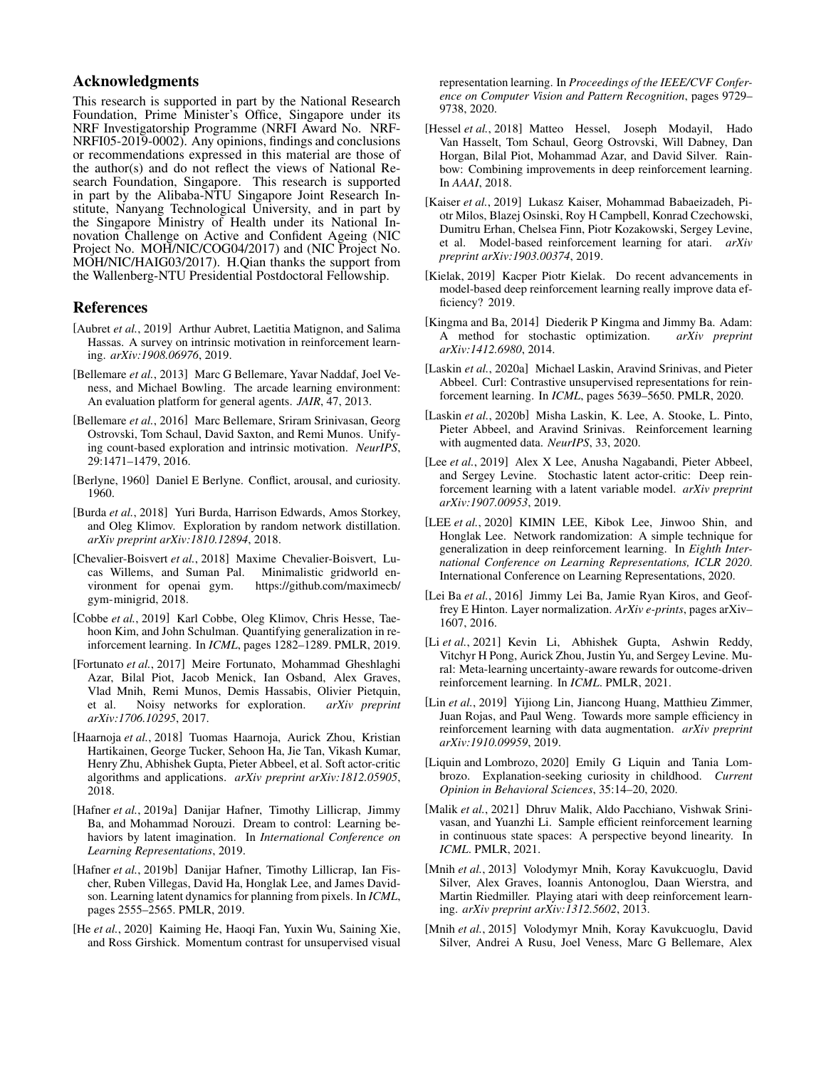# Acknowledgments

This research is supported in part by the National Research Foundation, Prime Minister's Office, Singapore under its NRF Investigatorship Programme (NRFI Award No. NRF-NRFI05-2019-0002). Any opinions, findings and conclusions or recommendations expressed in this material are those of the author(s) and do not reflect the views of National Research Foundation, Singapore. This research is supported in part by the Alibaba-NTU Singapore Joint Research Institute, Nanyang Technological University, and in part by the Singapore Ministry of Health under its National Innovation Challenge on Active and Confident Ageing (NIC Project No. MOH/NIC/COG04/2017) and (NIC Project No. MOH/NIC/HAIG03/2017). H.Qian thanks the support from the Wallenberg-NTU Presidential Postdoctoral Fellowship.

### References

- <span id="page-6-7"></span>[Aubret *et al.*, 2019] Arthur Aubret, Laetitia Matignon, and Salima Hassas. A survey on intrinsic motivation in reinforcement learning. *arXiv:1908.06976*, 2019.
- <span id="page-6-5"></span>[Bellemare *et al.*, 2013] Marc G Bellemare, Yavar Naddaf, Joel Veness, and Michael Bowling. The arcade learning environment: An evaluation platform for general agents. *JAIR*, 47, 2013.
- <span id="page-6-8"></span>[Bellemare *et al.*, 2016] Marc Bellemare, Sriram Srinivasan, Georg Ostrovski, Tom Schaul, David Saxton, and Remi Munos. Unifying count-based exploration and intrinsic motivation. *NeurIPS*, 29:1471–1479, 2016.
- <span id="page-6-3"></span>[Berlyne, 1960] Daniel E Berlyne. Conflict, arousal, and curiosity. 1960.
- <span id="page-6-26"></span>[Burda *et al.*, 2018] Yuri Burda, Harrison Edwards, Amos Storkey, and Oleg Klimov. Exploration by random network distillation. *arXiv preprint arXiv:1810.12894*, 2018.
- <span id="page-6-6"></span>[Chevalier-Boisvert *et al.*, 2018] Maxime Chevalier-Boisvert, Lucas Willems, and Suman Pal. Minimalistic gridworld environment for openai gym. [https://github.com/maximecb/](https://github.com/maximecb/gym-minigrid) [gym-minigrid,](https://github.com/maximecb/gym-minigrid) 2018.
- <span id="page-6-12"></span>[Cobbe *et al.*, 2019] Karl Cobbe, Oleg Klimov, Chris Hesse, Taehoon Kim, and John Schulman. Quantifying generalization in reinforcement learning. In *ICML*, pages 1282–1289. PMLR, 2019.
- <span id="page-6-19"></span>[Fortunato *et al.*, 2017] Meire Fortunato, Mohammad Gheshlaghi Azar, Bilal Piot, Jacob Menick, Ian Osband, Alex Graves, Vlad Mnih, Remi Munos, Demis Hassabis, Olivier Pietquin, et al. Noisy networks for exploration. arXiv preprint Noisy networks for exploration. *arXiv preprint arXiv:1706.10295*, 2017.
- <span id="page-6-10"></span>[Haarnoja *et al.*, 2018] Tuomas Haarnoja, Aurick Zhou, Kristian Hartikainen, George Tucker, Sehoon Ha, Jie Tan, Vikash Kumar, Henry Zhu, Abhishek Gupta, Pieter Abbeel, et al. Soft actor-critic algorithms and applications. *arXiv preprint arXiv:1812.05905*, 2018.
- <span id="page-6-16"></span>[Hafner *et al.*, 2019a] Danijar Hafner, Timothy Lillicrap, Jimmy Ba, and Mohammad Norouzi. Dream to control: Learning behaviors by latent imagination. In *International Conference on Learning Representations*, 2019.
- <span id="page-6-15"></span>[Hafner et al., 2019b] Danijar Hafner, Timothy Lillicrap, Ian Fischer, Ruben Villegas, David Ha, Honglak Lee, and James Davidson. Learning latent dynamics for planning from pixels. In *ICML*, pages 2555–2565. PMLR, 2019.
- <span id="page-6-20"></span>[He *et al.*, 2020] Kaiming He, Haoqi Fan, Yuxin Wu, Saining Xie, and Ross Girshick. Momentum contrast for unsupervised visual

representation learning. In *Proceedings of the IEEE/CVF Conference on Computer Vision and Pattern Recognition*, pages 9729– 9738, 2020.

- <span id="page-6-11"></span>[Hessel et al., 2018] Matteo Hessel, Joseph Modayil, Hado Van Hasselt, Tom Schaul, Georg Ostrovski, Will Dabney, Dan Horgan, Bilal Piot, Mohammad Azar, and David Silver. Rainbow: Combining improvements in deep reinforcement learning. In *AAAI*, 2018.
- <span id="page-6-23"></span>[Kaiser *et al.*, 2019] Lukasz Kaiser, Mohammad Babaeizadeh, Piotr Milos, Blazej Osinski, Roy H Campbell, Konrad Czechowski, Dumitru Erhan, Chelsea Finn, Piotr Kozakowski, Sergey Levine, et al. Model-based reinforcement learning for atari. *arXiv preprint arXiv:1903.00374*, 2019.
- <span id="page-6-24"></span>[Kielak, 2019] Kacper Piotr Kielak. Do recent advancements in model-based deep reinforcement learning really improve data efficiency? 2019.
- <span id="page-6-22"></span>[Kingma and Ba, 2014] Diederik P Kingma and Jimmy Ba. Adam: A method for stochastic optimization. *arXiv preprint arXiv:1412.6980*, 2014.
- <span id="page-6-2"></span>[Laskin *et al.*, 2020a] Michael Laskin, Aravind Srinivas, and Pieter Abbeel. Curl: Contrastive unsupervised representations for reinforcement learning. In *ICML*, pages 5639–5650. PMLR, 2020.
- <span id="page-6-0"></span>[Laskin *et al.*, 2020b] Misha Laskin, K. Lee, A. Stooke, L. Pinto, Pieter Abbeel, and Aravind Srinivas. Reinforcement learning with augmented data. *NeurIPS*, 33, 2020.
- <span id="page-6-17"></span>[Lee *et al.*, 2019] Alex X Lee, Anusha Nagabandi, Pieter Abbeel, and Sergey Levine. Stochastic latent actor-critic: Deep reinforcement learning with a latent variable model. *arXiv preprint arXiv:1907.00953*, 2019.
- <span id="page-6-14"></span>[LEE *et al.*, 2020] KIMIN LEE, Kibok Lee, Jinwoo Shin, and Honglak Lee. Network randomization: A simple technique for generalization in deep reinforcement learning. In *Eighth International Conference on Learning Representations, ICLR 2020*. International Conference on Learning Representations, 2020.
- <span id="page-6-21"></span>[Lei Ba et al., 2016] Jimmy Lei Ba, Jamie Ryan Kiros, and Geoffrey E Hinton. Layer normalization. *ArXiv e-prints*, pages arXiv– 1607, 2016.
- <span id="page-6-9"></span>[Li *et al.*, 2021] Kevin Li, Abhishek Gupta, Ashwin Reddy, Vitchyr H Pong, Aurick Zhou, Justin Yu, and Sergey Levine. Mural: Meta-learning uncertainty-aware rewards for outcome-driven reinforcement learning. In *ICML*. PMLR, 2021.
- <span id="page-6-13"></span>[Lin *et al.*, 2019] Yijiong Lin, Jiancong Huang, Matthieu Zimmer, Juan Rojas, and Paul Weng. Towards more sample efficiency in reinforcement learning with data augmentation. *arXiv preprint arXiv:1910.09959*, 2019.
- <span id="page-6-4"></span>[Liquin and Lombrozo, 2020] Emily G Liquin and Tania Lombrozo. Explanation-seeking curiosity in childhood. *Current Opinion in Behavioral Sciences*, 35:14–20, 2020.
- <span id="page-6-1"></span>[Malik *et al.*, 2021] Dhruv Malik, Aldo Pacchiano, Vishwak Srinivasan, and Yuanzhi Li. Sample efficient reinforcement learning in continuous state spaces: A perspective beyond linearity. In *ICML*. PMLR, 2021.
- <span id="page-6-25"></span>[Mnih *et al.*, 2013] Volodymyr Mnih, Koray Kavukcuoglu, David Silver, Alex Graves, Ioannis Antonoglou, Daan Wierstra, and Martin Riedmiller. Playing atari with deep reinforcement learning. *arXiv preprint arXiv:1312.5602*, 2013.
- <span id="page-6-18"></span>[Mnih et al., 2015] Volodymyr Mnih, Koray Kavukcuoglu, David Silver, Andrei A Rusu, Joel Veness, Marc G Bellemare, Alex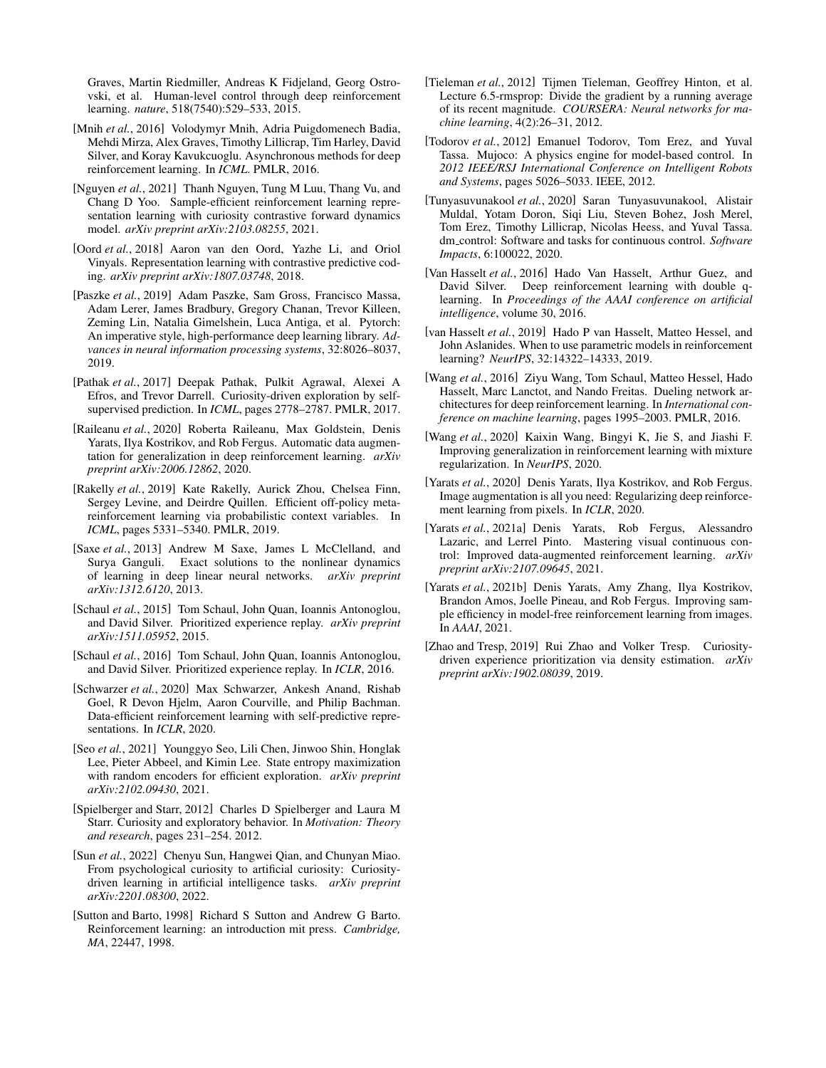Graves, Martin Riedmiller, Andreas K Fidjeland, Georg Ostrovski, et al. Human-level control through deep reinforcement learning. *nature*, 518(7540):529–533, 2015.

- <span id="page-7-15"></span>[Mnih *et al.*, 2016] Volodymyr Mnih, Adria Puigdomenech Badia, Mehdi Mirza, Alex Graves, Timothy Lillicrap, Tim Harley, David Silver, and Koray Kavukcuoglu. Asynchronous methods for deep reinforcement learning. In *ICML*. PMLR, 2016.
- <span id="page-7-14"></span>[Nguyen *et al.*, 2021] Thanh Nguyen, Tung M Luu, Thang Vu, and Chang D Yoo. Sample-efficient reinforcement learning representation learning with curiosity contrastive forward dynamics model. *arXiv preprint arXiv:2103.08255*, 2021.
- <span id="page-7-21"></span>[Oord *et al.*, 2018] Aaron van den Oord, Yazhe Li, and Oriol Vinyals. Representation learning with contrastive predictive coding. *arXiv preprint arXiv:1807.03748*, 2018.
- <span id="page-7-22"></span>[Paszke *et al.*, 2019] Adam Paszke, Sam Gross, Francisco Massa, Adam Lerer, James Bradbury, Gregory Chanan, Trevor Killeen, Zeming Lin, Natalia Gimelshein, Luca Antiga, et al. Pytorch: An imperative style, high-performance deep learning library. *Advances in neural information processing systems*, 32:8026–8037, 2019.
- <span id="page-7-10"></span>[Pathak *et al.*, 2017] Deepak Pathak, Pulkit Agrawal, Alexei A Efros, and Trevor Darrell. Curiosity-driven exploration by selfsupervised prediction. In *ICML*, pages 2778–2787. PMLR, 2017.
- <span id="page-7-8"></span>[Raileanu *et al.*, 2020] Roberta Raileanu, Max Goldstein, Denis Yarats, Ilya Kostrikov, and Rob Fergus. Automatic data augmentation for generalization in deep reinforcement learning. *arXiv preprint arXiv:2006.12862*, 2020.
- <span id="page-7-0"></span>[Rakelly *et al.*, 2019] Kate Rakelly, Aurick Zhou, Chelsea Finn, Sergey Levine, and Deirdre Quillen. Efficient off-policy metareinforcement learning via probabilistic context variables. In *ICML*, pages 5331–5340. PMLR, 2019.
- <span id="page-7-23"></span>[Saxe et al., 2013] Andrew M Saxe, James L McClelland, and Surya Ganguli. Exact solutions to the nonlinear dynamics of learning in deep linear neural networks. *arXiv preprint arXiv:1312.6120*, 2013.
- <span id="page-7-17"></span>[Schaul *et al.*, 2015] Tom Schaul, John Quan, Ioannis Antonoglou, and David Silver. Prioritized experience replay. *arXiv preprint arXiv:1511.05952*, 2015.
- <span id="page-7-12"></span>[Schaul *et al.*, 2016] Tom Schaul, John Quan, Ioannis Antonoglou, and David Silver. Prioritized experience replay. In *ICLR*, 2016.
- <span id="page-7-1"></span>[Schwarzer *et al.*, 2020] Max Schwarzer, Ankesh Anand, Rishab Goel, R Devon Hjelm, Aaron Courville, and Philip Bachman. Data-efficient reinforcement learning with self-predictive representations. In *ICLR*, 2020.
- <span id="page-7-11"></span>[Seo *et al.*, 2021] Younggyo Seo, Lili Chen, Jinwoo Shin, Honglak Lee, Pieter Abbeel, and Kimin Lee. State entropy maximization with random encoders for efficient exploration. *arXiv preprint arXiv:2102.09430*, 2021.
- <span id="page-7-6"></span>[Spielberger and Starr, 2012] Charles D Spielberger and Laura M Starr. Curiosity and exploratory behavior. In *Motivation: Theory and research*, pages 231–254. 2012.
- <span id="page-7-3"></span>[Sun *et al.*, 2022] Chenyu Sun, Hangwei Qian, and Chunyan Miao. From psychological curiosity to artificial curiosity: Curiositydriven learning in artificial intelligence tasks. *arXiv preprint arXiv:2201.08300*, 2022.
- <span id="page-7-19"></span>[Sutton and Barto, 1998] Richard S Sutton and Andrew G Barto. Reinforcement learning: an introduction mit press. *Cambridge, MA*, 22447, 1998.
- <span id="page-7-25"></span>[Tieleman *et al.*, 2012] Tijmen Tieleman, Geoffrey Hinton, et al. Lecture 6.5-rmsprop: Divide the gradient by a running average of its recent magnitude. *COURSERA: Neural networks for machine learning*, 4(2):26–31, 2012.
- <span id="page-7-24"></span>[Todorov *et al.*, 2012] Emanuel Todorov, Tom Erez, and Yuval Tassa. Mujoco: A physics engine for model-based control. In *2012 IEEE/RSJ International Conference on Intelligent Robots and Systems*, pages 5026–5033. IEEE, 2012.
- <span id="page-7-7"></span>[Tunyasuvunakool *et al.*, 2020] Saran Tunyasuvunakool, Alistair Muldal, Yotam Doron, Siqi Liu, Steven Bohez, Josh Merel, Tom Erez, Timothy Lillicrap, Nicolas Heess, and Yuval Tassa. dm control: Software and tasks for continuous control. *Software Impacts*, 6:100022, 2020.
- <span id="page-7-16"></span>[Van Hasselt *et al.*, 2016] Hado Van Hasselt, Arthur Guez, and David Silver. Deep reinforcement learning with double qlearning. In *Proceedings of the AAAI conference on artificial intelligence*, volume 30, 2016.
- <span id="page-7-20"></span>[van Hasselt *et al.*, 2019] Hado P van Hasselt, Matteo Hessel, and John Aslanides. When to use parametric models in reinforcement learning? *NeurIPS*, 32:14322–14333, 2019.
- <span id="page-7-18"></span>[Wang *et al.*, 2016] Ziyu Wang, Tom Schaul, Matteo Hessel, Hado Hasselt, Marc Lanctot, and Nando Freitas. Dueling network architectures for deep reinforcement learning. In *International conference on machine learning*, pages 1995–2003. PMLR, 2016.
- <span id="page-7-9"></span>[Wang *et al.*, 2020] Kaixin Wang, Bingyi K, Jie S, and Jiashi F. Improving generalization in reinforcement learning with mixture regularization. In *NeurIPS*, 2020.
- <span id="page-7-4"></span>[Yarats et al., 2020] Denis Yarats, Ilya Kostrikov, and Rob Fergus. Image augmentation is all you need: Regularizing deep reinforcement learning from pixels. In *ICLR*, 2020.
- <span id="page-7-5"></span>[Yarats *et al.*, 2021a] Denis Yarats, Rob Fergus, Alessandro Lazaric, and Lerrel Pinto. Mastering visual continuous control: Improved data-augmented reinforcement learning. *arXiv preprint arXiv:2107.09645*, 2021.
- <span id="page-7-2"></span>[Yarats *et al.*, 2021b] Denis Yarats, Amy Zhang, Ilya Kostrikov, Brandon Amos, Joelle Pineau, and Rob Fergus. Improving sample efficiency in model-free reinforcement learning from images. In *AAAI*, 2021.
- <span id="page-7-13"></span>[Zhao and Tresp, 2019] Rui Zhao and Volker Tresp. Curiositydriven experience prioritization via density estimation. *arXiv preprint arXiv:1902.08039*, 2019.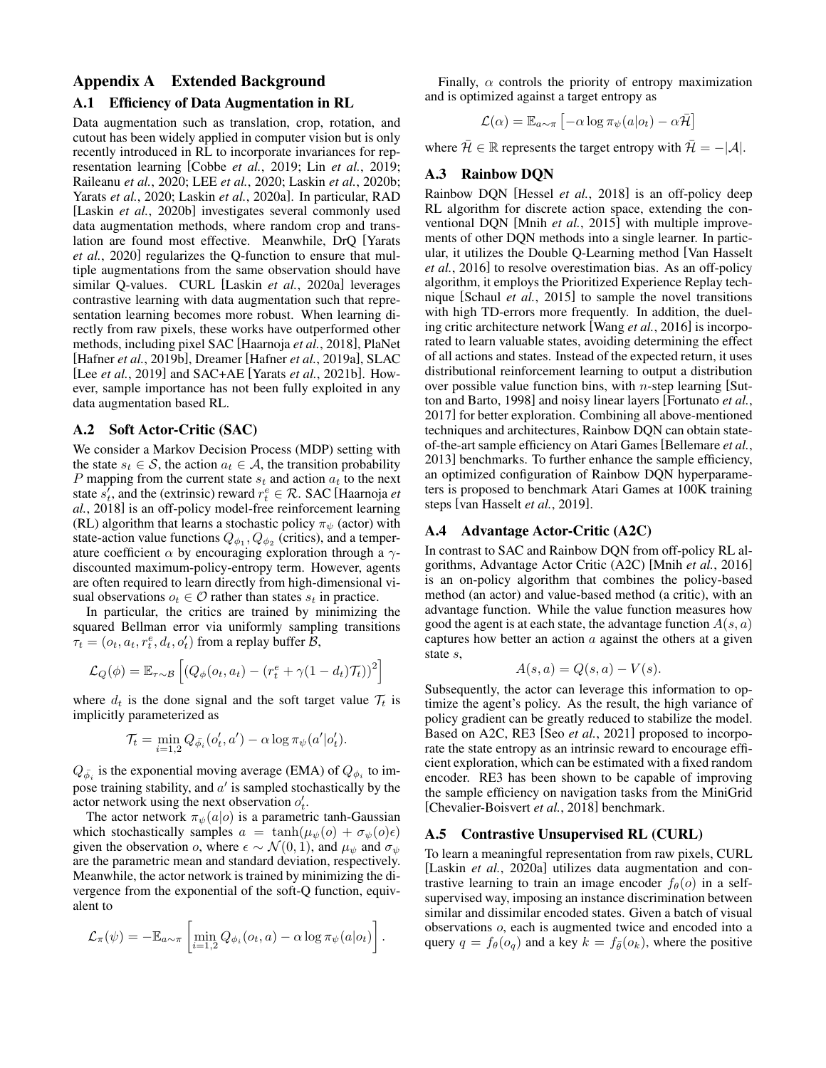# <span id="page-8-0"></span>Appendix A Extended Background

### A.1 Efficiency of Data Augmentation in RL

Data augmentation such as translation, crop, rotation, and cutout has been widely applied in computer vision but is only recently introduced in RL to incorporate invariances for representation learning [\[Cobbe](#page-6-12) *et al.*, 2019; Lin *et al.*[, 2019;](#page-6-13) [Raileanu](#page-7-8) *et al.*, 2020; LEE *et al.*[, 2020;](#page-6-14) Laskin *et al.*[, 2020b;](#page-6-0) Yarats *et al.*[, 2020;](#page-7-4) Laskin *et al.*[, 2020a\]](#page-6-2). In particular, RAD [Laskin *et al.*[, 2020b\]](#page-6-0) investigates several commonly used data augmentation methods, where random crop and translation are found most effective. Meanwhile, DrQ [\[Yarats](#page-7-4) *et al.*[, 2020\]](#page-7-4) regularizes the Q-function to ensure that multiple augmentations from the same observation should have similar Q-values. CURL [Laskin *et al.*[, 2020a\]](#page-6-2) leverages contrastive learning with data augmentation such that representation learning becomes more robust. When learning directly from raw pixels, these works have outperformed other methods, including pixel SAC [\[Haarnoja](#page-6-10) *et al.*, 2018], PlaNet [Hafner *et al.*[, 2019b\]](#page-6-15), Dreamer [Hafner *et al.*[, 2019a\]](#page-6-16), SLAC [Lee *et al.*[, 2019\]](#page-6-17) and SAC+AE [Yarats *et al.*[, 2021b\]](#page-7-2). However, sample importance has not been fully exploited in any data augmentation based RL.

### A.2 Soft Actor-Critic (SAC)

We consider a Markov Decision Process (MDP) setting with the state  $s_t \in \mathcal{S}$ , the action  $a_t \in \mathcal{A}$ , the transition probability P mapping from the current state  $s_t$  and action  $a_t$  to the next state  $\hat{s}'_t$ , and the (extrinsic) reward  $r_t^e \in \mathcal{R}$ . SAC [\[Haarnoja](#page-6-10) *et al.*[, 2018\]](#page-6-10) is an off-policy model-free reinforcement learning (RL) algorithm that learns a stochastic policy  $\pi_{\psi}$  (actor) with state-action value functions  $Q_{\phi_1}, Q_{\phi_2}$  (critics), and a temperature coefficient  $\alpha$  by encouraging exploration through a  $\gamma$ discounted maximum-policy-entropy term. However, agents are often required to learn directly from high-dimensional visual observations  $o_t \in \mathcal{O}$  rather than states  $s_t$  in practice.

In particular, the critics are trained by minimizing the squared Bellman error via uniformly sampling transitions  $\tau_t = (o_t, a_t, r_t^e, d_t, o_t)$  from a replay buffer  $\tilde{B}$ ,

$$
\mathcal{L}_Q(\phi) = \mathbb{E}_{\tau \sim \mathcal{B}} \left[ \left( Q_{\phi}(o_t, a_t) - \left( r_t^e + \gamma (1 - d_t) \mathcal{T}_t \right) \right)^2 \right]
$$

where  $d_t$  is the done signal and the soft target value  $\mathcal{T}_t$  is implicitly parameterized as

$$
\mathcal{T}_t = \min_{i=1,2} Q_{\bar{\phi}_i}(o'_t, a') - \alpha \log \pi_{\psi}(a' | o'_t).
$$

 $Q_{\bar{\phi}_i}$  is the exponential moving average (EMA) of  $Q_{\phi_i}$  to impose training stability, and  $a'$  is sampled stochastically by the actor network using the next observation  $o'_t$ .

The actor network  $\pi_{\psi}(a|o)$  is a parametric tanh-Gaussian which stochastically samples  $a = \tanh(\mu_{\psi}(o) + \sigma_{\psi}(o)\epsilon)$ given the observation o, where  $\epsilon \sim \mathcal{N}(0, 1)$ , and  $\mu_{\psi}$  and  $\sigma_{\psi}$ are the parametric mean and standard deviation, respectively. Meanwhile, the actor network is trained by minimizing the divergence from the exponential of the soft-Q function, equivalent to

$$
\mathcal{L}_{\pi}(\psi) = -\mathbb{E}_{a\sim\pi} \left[ \min_{i=1,2} Q_{\phi_i}(o_t, a) - \alpha \log \pi_{\psi}(a|o_t) \right].
$$

Finally,  $\alpha$  controls the priority of entropy maximization and is optimized against a target entropy as

$$
\mathcal{L}(\alpha) = \mathbb{E}_{a \sim \pi} \left[ -\alpha \log \pi_{\psi}(a|o_t) - \alpha \bar{\mathcal{H}} \right]
$$

where  $\bar{\mathcal{H}} \in \mathbb{R}$  represents the target entropy with  $\bar{\mathcal{H}} = -|\mathcal{A}|$ .

### A.3 Rainbow DQN

Rainbow DQN [Hessel *et al.*[, 2018\]](#page-6-11) is an off-policy deep RL algorithm for discrete action space, extending the conventional DQN [Mnih *et al.*[, 2015\]](#page-6-18) with multiple improvements of other DQN methods into a single learner. In particular, it utilizes the Double Q-Learning method [\[Van Hasselt](#page-7-16) *et al.*[, 2016\]](#page-7-16) to resolve overestimation bias. As an off-policy algorithm, it employs the Prioritized Experience Replay technique [\[Schaul](#page-7-17) *et al.*, 2015] to sample the novel transitions with high TD-errors more frequently. In addition, the dueling critic architecture network [Wang *et al.*[, 2016\]](#page-7-18) is incorporated to learn valuable states, avoiding determining the effect of all actions and states. Instead of the expected return, it uses distributional reinforcement learning to output a distribution over possible value function bins, with  $n$ -step learning [\[Sut](#page-7-19)[ton and Barto, 1998\]](#page-7-19) and noisy linear layers [\[Fortunato](#page-6-19) *et al.*, [2017\]](#page-6-19) for better exploration. Combining all above-mentioned techniques and architectures, Rainbow DQN can obtain stateof-the-art sample efficiency on Atari Games [\[Bellemare](#page-6-5) *et al.*, [2013\]](#page-6-5) benchmarks. To further enhance the sample efficiency, an optimized configuration of Rainbow DQN hyperparameters is proposed to benchmark Atari Games at 100K training steps [\[van Hasselt](#page-7-20) *et al.*, 2019].

### A.4 Advantage Actor-Critic (A2C)

In contrast to SAC and Rainbow DQN from off-policy RL algorithms, Advantage Actor Critic (A2C) [Mnih *et al.*[, 2016\]](#page-7-15) is an on-policy algorithm that combines the policy-based method (an actor) and value-based method (a critic), with an advantage function. While the value function measures how good the agent is at each state, the advantage function  $A(s, a)$ captures how better an action  $a$  against the others at a given state s,

$$
A(s, a) = Q(s, a) - V(s).
$$

Subsequently, the actor can leverage this information to optimize the agent's policy. As the result, the high variance of policy gradient can be greatly reduced to stabilize the model. Based on A2C, RE3 [Seo *et al.*[, 2021\]](#page-7-11) proposed to incorporate the state entropy as an intrinsic reward to encourage efficient exploration, which can be estimated with a fixed random encoder. RE3 has been shown to be capable of improving the sample efficiency on navigation tasks from the MiniGrid [\[Chevalier-Boisvert](#page-6-6) *et al.*, 2018] benchmark.

#### A.5 Contrastive Unsupervised RL (CURL)

To learn a meaningful representation from raw pixels, CURL [Laskin *et al.*[, 2020a\]](#page-6-2) utilizes data augmentation and contrastive learning to train an image encoder  $f_{\theta}(o)$  in a selfsupervised way, imposing an instance discrimination between similar and dissimilar encoded states. Given a batch of visual observations o, each is augmented twice and encoded into a query  $q = f_{\theta}(o_q)$  and a key  $k = f_{\overline{\theta}}(o_k)$ , where the positive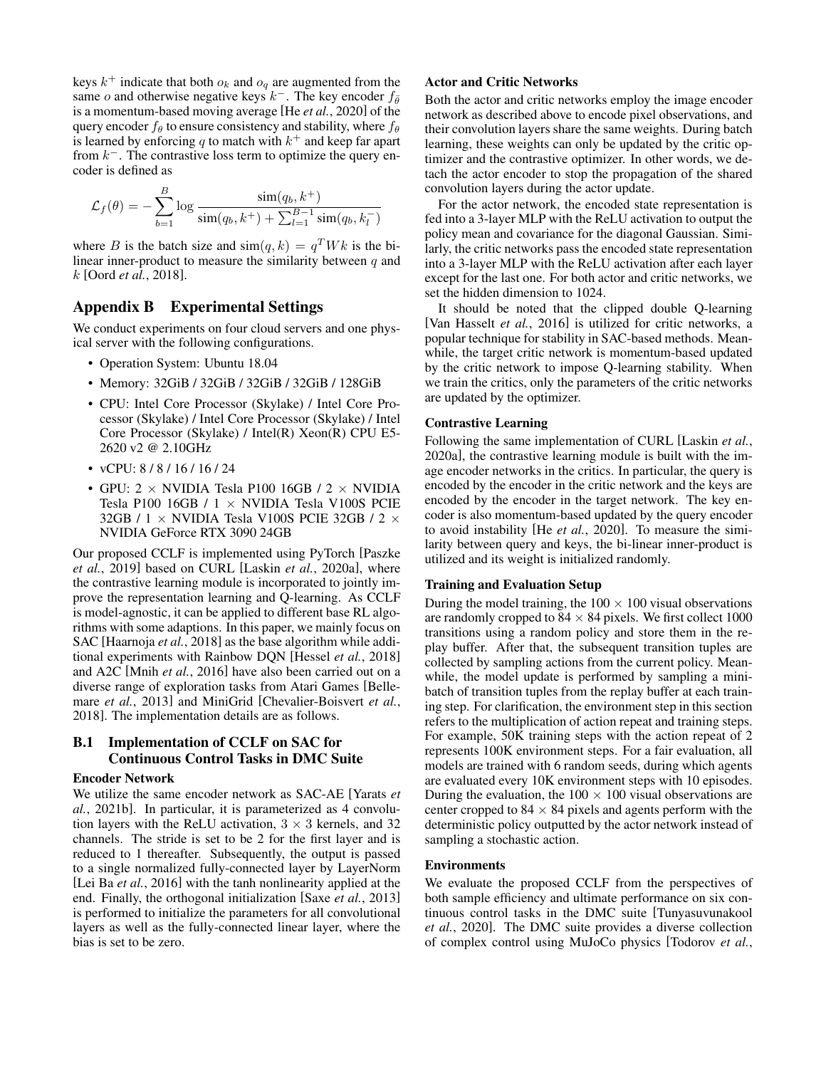keys  $k^+$  indicate that both  $o_k$  and  $o_q$  are augmented from the same o and otherwise negative keys  $k^-$ . The key encoder  $f_{\bar{\theta}}$ is a momentum-based moving average [He *et al.*[, 2020\]](#page-6-20) of the query encoder  $f_\theta$  to ensure consistency and stability, where  $f_\theta$ is learned by enforcing q to match with  $k^+$  and keep far apart from  $k^-$ . The contrastive loss term to optimize the query encoder is defined as

$$
\mathcal{L}_f(\theta) = -\sum_{b=1}^{B} \log \frac{\sin(q_b, k^+)}{\sin(q_b, k^+) + \sum_{l=1}^{B-1} \sin(q_b, k_l^-)}
$$

where B is the batch size and  $\text{sim}(q, k) = q^T W k$  is the bilinear inner-product to measure the similarity between  $q$  and k [Oord *et al.*[, 2018\]](#page-7-21).

### Appendix B Experimental Settings

We conduct experiments on four cloud servers and one physical server with the following configurations.

- Operation System: Ubuntu 18.04
- Memory: 32GiB / 32GiB / 32GiB / 32GiB / 128GiB
- CPU: Intel Core Processor (Skylake) / Intel Core Processor (Skylake) / Intel Core Processor (Skylake) / Intel Core Processor (Skylake) / Intel(R) Xeon(R) CPU E5- 2620 v2 @ 2.10GHz
- vCPU: 8 / 8 / 16 / 16 / 24
- GPU:  $2 \times$  NVIDIA Tesla P100 16GB /  $2 \times$  NVIDIA Tesla P100 16GB / 1 × NVIDIA Tesla V100S PCIE 32GB / 1  $\times$  NVIDIA Tesla V100S PCIE 32GB / 2  $\times$ NVIDIA GeForce RTX 3090 24GB

Our proposed CCLF is implemented using PyTorch [\[Paszke](#page-7-22) *et al.*[, 2019\]](#page-7-22) based on CURL [Laskin *et al.*[, 2020a\]](#page-6-2), where the contrastive learning module is incorporated to jointly improve the representation learning and Q-learning. As CCLF is model-agnostic, it can be applied to different base RL algorithms with some adaptions. In this paper, we mainly focus on SAC [\[Haarnoja](#page-6-10) *et al.*, 2018] as the base algorithm while additional experiments with Rainbow DQN [\[Hessel](#page-6-11) *et al.*, 2018] and A2C [Mnih *et al.*[, 2016\]](#page-7-15) have also been carried out on a diverse range of exploration tasks from Atari Games [\[Belle](#page-6-5)mare *et al.*[, 2013\]](#page-6-5) and MiniGrid [\[Chevalier-Boisvert](#page-6-6) *et al.*, [2018\]](#page-6-6). The implementation details are as follows.

### <span id="page-9-0"></span>B.1 Implementation of CCLF on SAC for Continuous Control Tasks in DMC Suite

### Encoder Network

We utilize the same encoder network as SAC-AE [\[Yarats](#page-7-2) *et al.*[, 2021b\]](#page-7-2). In particular, it is parameterized as 4 convolution layers with the ReLU activation,  $3 \times 3$  kernels, and 32 channels. The stride is set to be 2 for the first layer and is reduced to 1 thereafter. Subsequently, the output is passed to a single normalized fully-connected layer by LayerNorm [\[Lei Ba](#page-6-21) *et al.*, 2016] with the tanh nonlinearity applied at the end. Finally, the orthogonal initialization [Saxe *et al.*[, 2013\]](#page-7-23) is performed to initialize the parameters for all convolutional layers as well as the fully-connected linear layer, where the bias is set to be zero.

### Actor and Critic Networks

Both the actor and critic networks employ the image encoder network as described above to encode pixel observations, and their convolution layers share the same weights. During batch learning, these weights can only be updated by the critic optimizer and the contrastive optimizer. In other words, we detach the actor encoder to stop the propagation of the shared convolution layers during the actor update.

For the actor network, the encoded state representation is fed into a 3-layer MLP with the ReLU activation to output the policy mean and covariance for the diagonal Gaussian. Similarly, the critic networks pass the encoded state representation into a 3-layer MLP with the ReLU activation after each layer except for the last one. For both actor and critic networks, we set the hidden dimension to 1024.

It should be noted that the clipped double Q-learning [\[Van Hasselt](#page-7-16) *et al.*, 2016] is utilized for critic networks, a popular technique for stability in SAC-based methods. Meanwhile, the target critic network is momentum-based updated by the critic network to impose Q-learning stability. When we train the critics, only the parameters of the critic networks are updated by the optimizer.

### Contrastive Learning

Following the same implementation of CURL [\[Laskin](#page-6-2) *et al.*, [2020a\]](#page-6-2), the contrastive learning module is built with the image encoder networks in the critics. In particular, the query is encoded by the encoder in the critic network and the keys are encoded by the encoder in the target network. The key encoder is also momentum-based updated by the query encoder to avoid instability [He *et al.*[, 2020\]](#page-6-20). To measure the similarity between query and keys, the bi-linear inner-product is utilized and its weight is initialized randomly.

#### Training and Evaluation Setup

During the model training, the  $100 \times 100$  visual observations are randomly cropped to  $84 \times 84$  pixels. We first collect 1000 transitions using a random policy and store them in the replay buffer. After that, the subsequent transition tuples are collected by sampling actions from the current policy. Meanwhile, the model update is performed by sampling a minibatch of transition tuples from the replay buffer at each training step. For clarification, the environment step in this section refers to the multiplication of action repeat and training steps. For example, 50K training steps with the action repeat of 2 represents 100K environment steps. For a fair evaluation, all models are trained with 6 random seeds, during which agents are evaluated every 10K environment steps with 10 episodes. During the evaluation, the  $100 \times 100$  visual observations are center cropped to  $84 \times 84$  pixels and agents perform with the deterministic policy outputted by the actor network instead of sampling a stochastic action.

#### Environments

We evaluate the proposed CCLF from the perspectives of both sample efficiency and ultimate performance on six continuous control tasks in the DMC suite [\[Tunyasuvunakool](#page-7-7) *et al.*[, 2020\]](#page-7-7). The DMC suite provides a diverse collection of complex control using MuJoCo physics [\[Todorov](#page-7-24) *et al.*,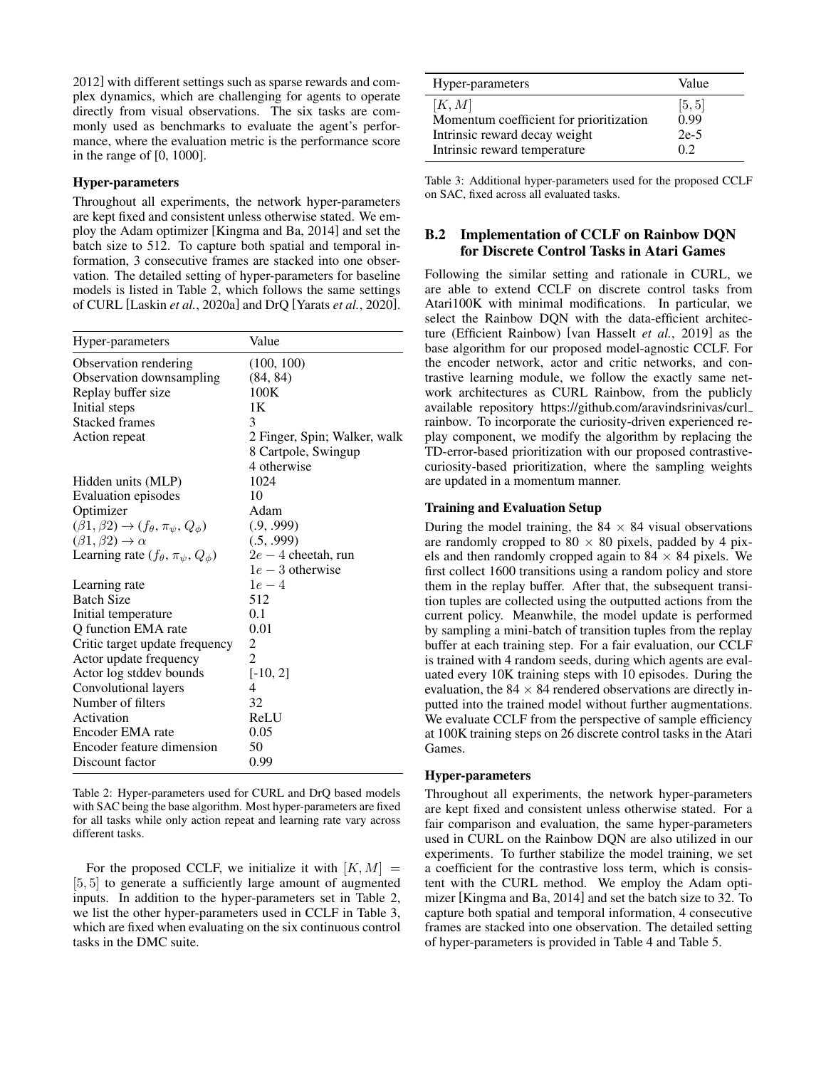[2012\]](#page-7-24) with different settings such as sparse rewards and complex dynamics, which are challenging for agents to operate directly from visual observations. The six tasks are commonly used as benchmarks to evaluate the agent's performance, where the evaluation metric is the performance score in the range of [0, 1000].

### Hyper-parameters

Throughout all experiments, the network hyper-parameters are kept fixed and consistent unless otherwise stated. We employ the Adam optimizer [\[Kingma and Ba, 2014\]](#page-6-22) and set the batch size to 512. To capture both spatial and temporal information, 3 consecutive frames are stacked into one observation. The detailed setting of hyper-parameters for baseline models is listed in Table [2,](#page-10-1) which follows the same settings of CURL [Laskin *et al.*[, 2020a\]](#page-6-2) and DrQ [\[Yarats](#page-7-4) *et al.*, 2020].

<span id="page-10-1"></span>

| Hyper-parameters                                                  | Value                        |
|-------------------------------------------------------------------|------------------------------|
| Observation rendering                                             | (100, 100)                   |
| Observation downsampling                                          | (84, 84)                     |
| Replay buffer size                                                | 100K                         |
| Initial steps                                                     | 1 K                          |
| <b>Stacked frames</b>                                             | 3                            |
| Action repeat                                                     | 2 Finger, Spin; Walker, walk |
|                                                                   | 8 Cartpole, Swingup          |
|                                                                   | 4 otherwise                  |
| Hidden units (MLP)                                                | 1024                         |
| Evaluation episodes                                               | 10                           |
| Optimizer                                                         | Adam                         |
| $(\beta1, \beta2) \rightarrow (f_{\theta}, \pi_{\psi}, Q_{\phi})$ | (.9, .999)                   |
| $(\beta1, \beta2) \rightarrow \alpha$                             | (.5, .999)                   |
| Learning rate $(f_{\theta}, \pi_{\psi}, Q_{\phi})$                | $2e-4$ cheetah, run          |
|                                                                   | $1e-3$ otherwise             |
| Learning rate                                                     | $1e-4$                       |
| <b>Batch Size</b>                                                 | 512                          |
| Initial temperature                                               | 0.1                          |
| O function EMA rate                                               | 0.01                         |
| Critic target update frequency                                    | 2                            |
| Actor update frequency                                            | $\overline{2}$               |
| Actor log stddev bounds                                           | $[-10, 2]$                   |
| Convolutional layers                                              | 4                            |
| Number of filters                                                 | 32                           |
| Activation                                                        | ReLU                         |
| Encoder EMA rate                                                  | 0.05                         |
| Encoder feature dimension                                         | 50                           |
| Discount factor                                                   | 0.99                         |

Table 2: Hyper-parameters used for CURL and DrQ based models with SAC being the base algorithm. Most hyper-parameters are fixed for all tasks while only action repeat and learning rate vary across different tasks.

For the proposed CCLF, we initialize it with  $[K, M] =$ [5, 5] to generate a sufficiently large amount of augmented inputs. In addition to the hyper-parameters set in Table [2,](#page-10-1) we list the other hyper-parameters used in CCLF in Table [3,](#page-10-2) which are fixed when evaluating on the six continuous control tasks in the DMC suite.

<span id="page-10-2"></span>

| Hyper-parameters                        | Value  |
|-----------------------------------------|--------|
| [K, M]                                  | [5, 5] |
| Momentum coefficient for prioritization | 0.99   |
| Intrinsic reward decay weight           | $2e-5$ |
| Intrinsic reward temperature            | 02     |

Table 3: Additional hyper-parameters used for the proposed CCLF on SAC, fixed across all evaluated tasks.

### <span id="page-10-0"></span>B.2 Implementation of CCLF on Rainbow DQN for Discrete Control Tasks in Atari Games

Following the similar setting and rationale in CURL, we are able to extend CCLF on discrete control tasks from Atari100K with minimal modifications. In particular, we select the Rainbow DQN with the data-efficient architecture (Efficient Rainbow) [\[van Hasselt](#page-7-20) *et al.*, 2019] as the base algorithm for our proposed model-agnostic CCLF. For the encoder network, actor and critic networks, and contrastive learning module, we follow the exactly same network architectures as CURL Rainbow, from the publicly available repository [https://github.com/aravindsrinivas/curl](https://github.com/aravindsrinivas/curl_rainbow) [rainbow.](https://github.com/aravindsrinivas/curl_rainbow) To incorporate the curiosity-driven experienced replay component, we modify the algorithm by replacing the TD-error-based prioritization with our proposed contrastivecuriosity-based prioritization, where the sampling weights are updated in a momentum manner.

#### Training and Evaluation Setup

During the model training, the  $84 \times 84$  visual observations are randomly cropped to  $80 \times 80$  pixels, padded by 4 pixels and then randomly cropped again to  $84 \times 84$  pixels. We first collect 1600 transitions using a random policy and store them in the replay buffer. After that, the subsequent transition tuples are collected using the outputted actions from the current policy. Meanwhile, the model update is performed by sampling a mini-batch of transition tuples from the replay buffer at each training step. For a fair evaluation, our CCLF is trained with 4 random seeds, during which agents are evaluated every 10K training steps with 10 episodes. During the evaluation, the  $84 \times 84$  rendered observations are directly inputted into the trained model without further augmentations. We evaluate CCLF from the perspective of sample efficiency at 100K training steps on 26 discrete control tasks in the Atari Games.

### Hyper-parameters

Throughout all experiments, the network hyper-parameters are kept fixed and consistent unless otherwise stated. For a fair comparison and evaluation, the same hyper-parameters used in CURL on the Rainbow DQN are also utilized in our experiments. To further stabilize the model training, we set a coefficient for the contrastive loss term, which is consistent with the CURL method. We employ the Adam optimizer [\[Kingma and Ba, 2014\]](#page-6-22) and set the batch size to 32. To capture both spatial and temporal information, 4 consecutive frames are stacked into one observation. The detailed setting of hyper-parameters is provided in Table [4](#page-11-1) and Table [5.](#page-11-2)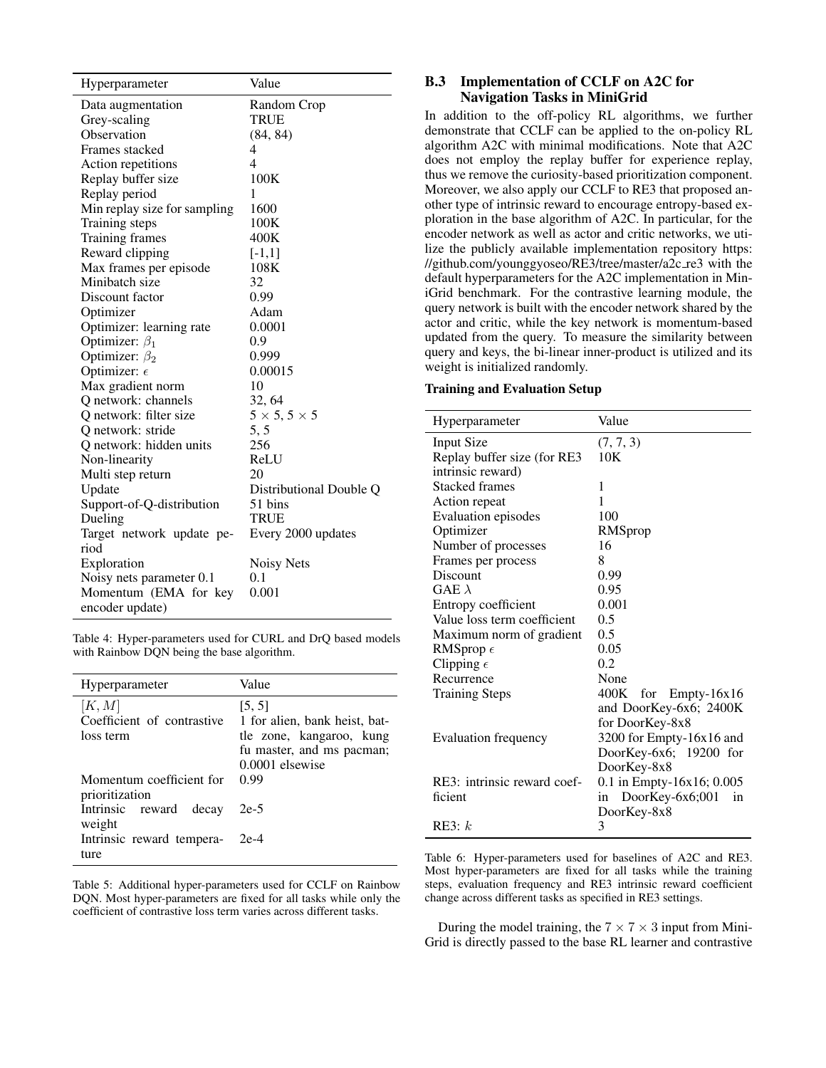<span id="page-11-1"></span>

| Hyperparameter               | Value                    |
|------------------------------|--------------------------|
| Data augmentation            | Random Crop              |
| Grey-scaling                 | TRUE                     |
| Observation                  | (84, 84)                 |
| Frames stacked               | 4                        |
| Action repetitions           | 4                        |
| Replay buffer size           | 100K                     |
| Replay period                | 1                        |
| Min replay size for sampling | 1600                     |
| Training steps               | 100K                     |
| Training frames              | 400K                     |
| Reward clipping              | $[-1,1]$                 |
| Max frames per episode       | 108K                     |
| Minibatch size               | 32                       |
| Discount factor              | 0.99                     |
| Optimizer                    | Adam                     |
| Optimizer: learning rate     | 0.0001                   |
| Optimizer: $\beta_1$         | 0.9                      |
| Optimizer: $\beta_2$         | 0.999                    |
| Optimizer: $\epsilon$        | 0.00015                  |
| Max gradient norm            | 10                       |
| Q network: channels          | 32, 64                   |
| Q network: filter size       | $5 \times 5, 5 \times 5$ |
| Q network: stride            | 5, 5                     |
| Q network: hidden units      | 256                      |
| Non-linearity                | ReLU                     |
| Multi step return            | 20                       |
| Update                       | Distributional Double Q  |
| Support-of-Q-distribution    | 51 bins                  |
| Dueling                      | TRUE                     |
| Target network update pe-    | Every 2000 updates       |
| riod                         |                          |
| Exploration                  | Noisy Nets               |
| Noisy nets parameter 0.1     | 0.1                      |
| Momentum (EMA for key        | 0.001                    |
| encoder update)              |                          |

Table 4: Hyper-parameters used for CURL and DrQ based models with Rainbow DQN being the base algorithm.

<span id="page-11-2"></span>

| Hyperparameter                                    | Value                                                                                                                 |  |  |
|---------------------------------------------------|-----------------------------------------------------------------------------------------------------------------------|--|--|
| [K, M]<br>Coefficient of contrastive<br>loss term | [5, 5]<br>1 for alien, bank heist, bat-<br>tle zone, kangaroo, kung<br>fu master, and ms pacman;<br>$0.0001$ elsewise |  |  |
| Momentum coefficient for<br>prioritization        | 0.99                                                                                                                  |  |  |
| Intrinsic reward decay<br>weight                  | $2e-5$                                                                                                                |  |  |
| Intrinsic reward tempera-<br>ture                 | 2e-4                                                                                                                  |  |  |

Table 5: Additional hyper-parameters used for CCLF on Rainbow DQN. Most hyper-parameters are fixed for all tasks while only the coefficient of contrastive loss term varies across different tasks.

### <span id="page-11-0"></span>B.3 Implementation of CCLF on A2C for Navigation Tasks in MiniGrid

In addition to the off-policy RL algorithms, we further demonstrate that CCLF can be applied to the on-policy RL algorithm A2C with minimal modifications. Note that A2C does not employ the replay buffer for experience replay, thus we remove the curiosity-based prioritization component. Moreover, we also apply our CCLF to RE3 that proposed another type of intrinsic reward to encourage entropy-based exploration in the base algorithm of A2C. In particular, for the encoder network as well as actor and critic networks, we utilize the publicly available implementation repository [https:](https://github.com/younggyoseo/RE3/tree/master/a2c_re3) [//github.com/younggyoseo/RE3/tree/master/a2c](https://github.com/younggyoseo/RE3/tree/master/a2c_re3) re3 with the default hyperparameters for the A2C implementation in MiniGrid benchmark. For the contrastive learning module, the query network is built with the encoder network shared by the actor and critic, while the key network is momentum-based updated from the query. To measure the similarity between query and keys, the bi-linear inner-product is utilized and its weight is initialized randomly.

#### Training and Evaluation Setup

<span id="page-11-3"></span>

| Hyperparameter              | Value                       |
|-----------------------------|-----------------------------|
| Input Size                  | (7, 7, 3)                   |
| Replay buffer size (for RE3 | 10K                         |
| intrinsic reward)           |                             |
| <b>Stacked frames</b>       | 1                           |
| Action repeat               | 1                           |
| <b>Evaluation episodes</b>  | 100                         |
| Optimizer                   | RMSprop                     |
| Number of processes         | 16                          |
| Frames per process          | 8                           |
| Discount                    | 0.99                        |
| GAE $\lambda$               | 0.95                        |
| Entropy coefficient         | 0.001                       |
| Value loss term coefficient | 0.5                         |
| Maximum norm of gradient    | 0.5                         |
| RMSprop $\epsilon$          | 0.05                        |
| Clipping $\epsilon$         | 0.2                         |
| Recurrence                  | None                        |
| <b>Training Steps</b>       | 400K for Empty-16x16        |
|                             | and DoorKey-6x6; 2400K      |
|                             | for DoorKey-8x8             |
| <b>Evaluation frequency</b> | 3200 for Empty-16x16 and    |
|                             | DoorKey-6x6; 19200 for      |
|                             | DoorKey-8x8                 |
| RE3: intrinsic reward coef- | 0.1 in Empty-16x16; 0.005   |
| ficient                     | DoorKey-6x6;001<br>in<br>in |
|                             | DoorKey-8x8                 |
| RE3: k                      | 3                           |

Table 6: Hyper-parameters used for baselines of A2C and RE3. Most hyper-parameters are fixed for all tasks while the training steps, evaluation frequency and RE3 intrinsic reward coefficient change across different tasks as specified in RE3 settings.

During the model training, the  $7 \times 7 \times 3$  input from Mini-Grid is directly passed to the base RL learner and contrastive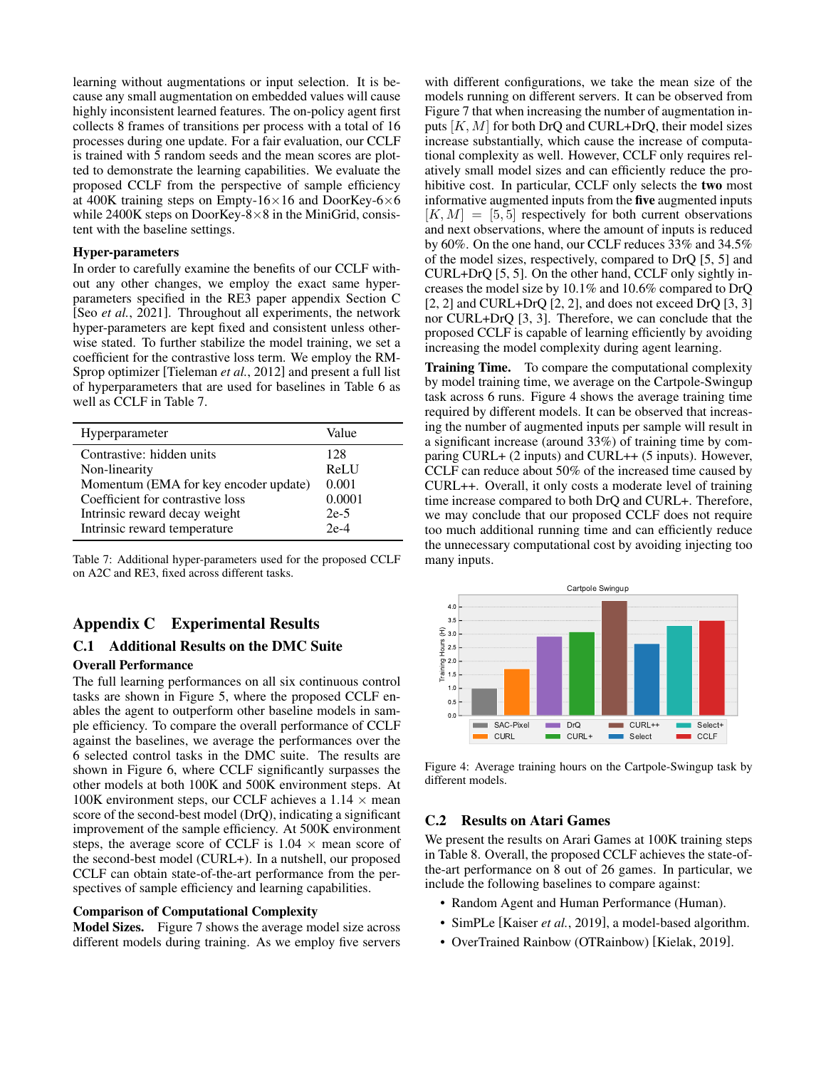learning without augmentations or input selection. It is because any small augmentation on embedded values will cause highly inconsistent learned features. The on-policy agent first collects 8 frames of transitions per process with a total of 16 processes during one update. For a fair evaluation, our CCLF is trained with 5 random seeds and the mean scores are plotted to demonstrate the learning capabilities. We evaluate the proposed CCLF from the perspective of sample efficiency at 400K training steps on Empty-16 $\times$ 16 and DoorKey-6 $\times$ 6 while 2400K steps on DoorKey-8×8 in the MiniGrid, consistent with the baseline settings.

### Hyper-parameters

In order to carefully examine the benefits of our CCLF without any other changes, we employ the exact same hyperparameters specified in the RE3 paper appendix Section C [Seo *et al.*[, 2021\]](#page-7-11). Throughout all experiments, the network hyper-parameters are kept fixed and consistent unless otherwise stated. To further stabilize the model training, we set a coefficient for the contrastive loss term. We employ the RM-Sprop optimizer [\[Tieleman](#page-7-25) *et al.*, 2012] and present a full list of hyperparameters that are used for baselines in Table [6](#page-11-3) as well as CCLF in Table [7.](#page-12-2)

<span id="page-12-2"></span>

| Hyperparameter                        | Value  |
|---------------------------------------|--------|
| Contrastive: hidden units             | 128    |
| Non-linearity                         | ReLU   |
| Momentum (EMA for key encoder update) | 0.001  |
| Coefficient for contrastive loss      | 0.0001 |
| Intrinsic reward decay weight         | $2e-5$ |
| Intrinsic reward temperature          | $2e-4$ |

Table 7: Additional hyper-parameters used for the proposed CCLF on A2C and RE3, fixed across different tasks.

### Appendix C Experimental Results

# C.1 Additional Results on the DMC Suite

### Overall Performance

The full learning performances on all six continuous control tasks are shown in Figure [5,](#page-13-0) where the proposed CCLF enables the agent to outperform other baseline models in sample efficiency. To compare the overall performance of CCLF against the baselines, we average the performances over the 6 selected control tasks in the DMC suite. The results are shown in Figure [6,](#page-13-1) where CCLF significantly surpasses the other models at both 100K and 500K environment steps. At 100K environment steps, our CCLF achieves a 1.14  $\times$  mean score of the second-best model (DrQ), indicating a significant improvement of the sample efficiency. At 500K environment steps, the average score of CCLF is  $1.04 \times$  mean score of the second-best model (CURL+). In a nutshell, our proposed CCLF can obtain state-of-the-art performance from the perspectives of sample efficiency and learning capabilities.

#### <span id="page-12-1"></span>Comparison of Computational Complexity

Model Sizes. Figure [7](#page-13-2) shows the average model size across different models during training. As we employ five servers with different configurations, we take the mean size of the models running on different servers. It can be observed from Figure [7](#page-13-2) that when increasing the number of augmentation inputs  $[K, M]$  for both DrQ and CURL+DrQ, their model sizes increase substantially, which cause the increase of computational complexity as well. However, CCLF only requires relatively small model sizes and can efficiently reduce the prohibitive cost. In particular, CCLF only selects the two most informative augmented inputs from the five augmented inputs  $[K, M] = [5, 5]$  respectively for both current observations and next observations, where the amount of inputs is reduced by 60%. On the one hand, our CCLF reduces 33% and 34.5% of the model sizes, respectively, compared to DrQ [5, 5] and CURL+DrQ [5, 5]. On the other hand, CCLF only sightly increases the model size by 10.1% and 10.6% compared to DrQ  $[2, 2]$  and CURL+DrQ  $[2, 2]$ , and does not exceed DrQ  $[3, 3]$ nor CURL+DrQ [3, 3]. Therefore, we can conclude that the proposed CCLF is capable of learning efficiently by avoiding increasing the model complexity during agent learning.

Training Time. To compare the computational complexity by model training time, we average on the Cartpole-Swingup task across 6 runs. Figure [4](#page-12-3) shows the average training time required by different models. It can be observed that increasing the number of augmented inputs per sample will result in a significant increase (around 33%) of training time by comparing CURL+ (2 inputs) and CURL++ (5 inputs). However, CCLF can reduce about 50% of the increased time caused by CURL++. Overall, it only costs a moderate level of training time increase compared to both DrQ and CURL+. Therefore, we may conclude that our proposed CCLF does not require too much additional running time and can efficiently reduce the unnecessary computational cost by avoiding injecting too many inputs.

<span id="page-12-3"></span>

Figure 4: Average training hours on the Cartpole-Swingup task by different models.

### <span id="page-12-0"></span>C.2 Results on Atari Games

We present the results on Arari Games at 100K training steps in Table [8.](#page-14-2) Overall, the proposed CCLF achieves the state-ofthe-art performance on 8 out of 26 games. In particular, we include the following baselines to compare against:

- Random Agent and Human Performance (Human).
- SimPLe [\[Kaiser](#page-6-23) *et al.*, 2019], a model-based algorithm.
- OverTrained Rainbow (OTRainbow) [\[Kielak, 2019\]](#page-6-24).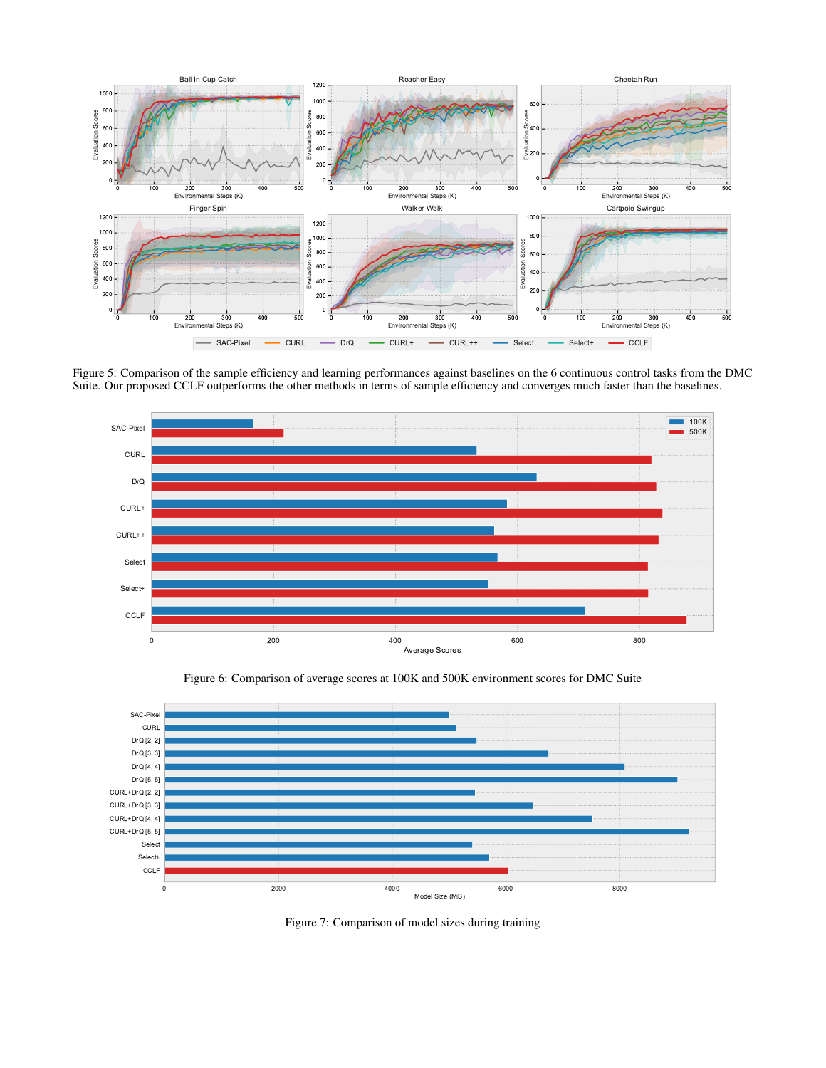<span id="page-13-0"></span>

Figure 5: Comparison of the sample efficiency and learning performances against baselines on the 6 continuous control tasks from the DMC Suite. Our proposed CCLF outperforms the other methods in terms of sample efficiency and converges much faster than the baselines.

<span id="page-13-1"></span>

<span id="page-13-2"></span>

Figure 6: Comparison of average scores at 100K and 500K environment scores for DMC Suite

Figure 7: Comparison of model sizes during training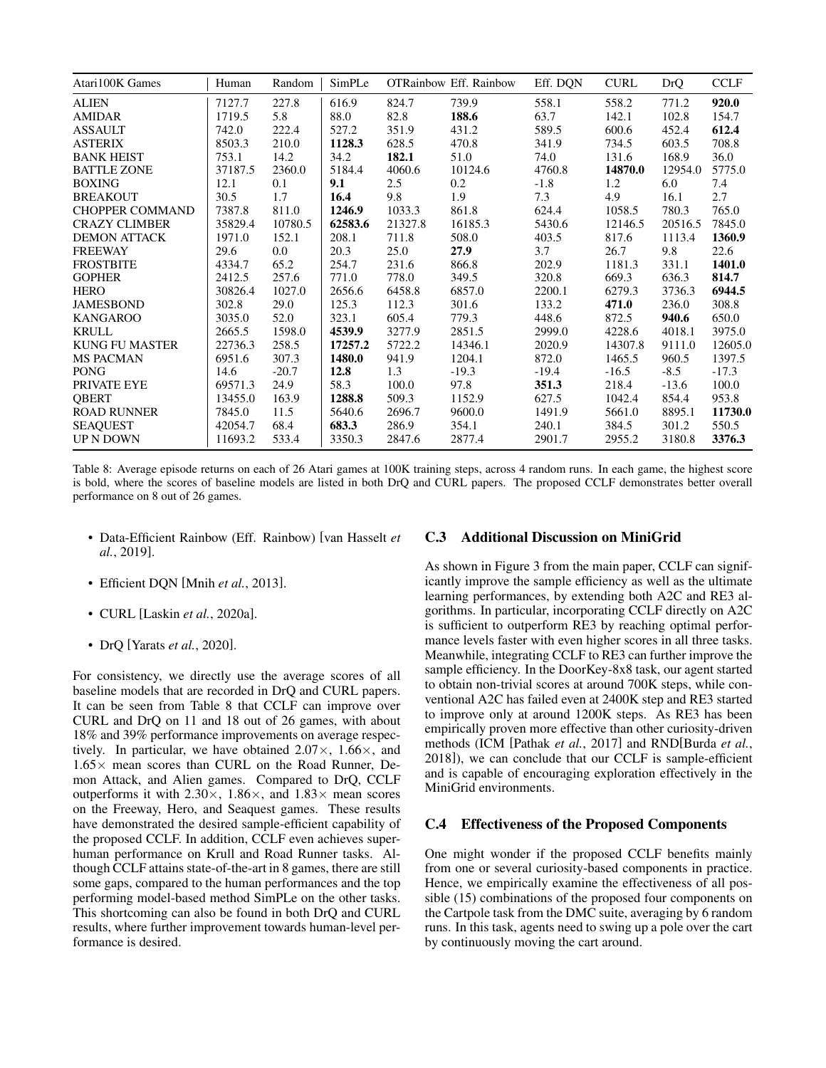<span id="page-14-2"></span>

| Atari100K Games        | Human   | Random  | SimPLe  |         | <b>OTRainbow Eff. Rainbow</b> | Eff. DQN | <b>CURL</b> | DrQ     | <b>CCLF</b> |
|------------------------|---------|---------|---------|---------|-------------------------------|----------|-------------|---------|-------------|
| <b>ALIEN</b>           | 7127.7  | 227.8   | 616.9   | 824.7   | 739.9                         | 558.1    | 558.2       | 771.2   | 920.0       |
| <b>AMIDAR</b>          | 1719.5  | 5.8     | 88.0    | 82.8    | 188.6                         | 63.7     | 142.1       | 102.8   | 154.7       |
| <b>ASSAULT</b>         | 742.0   | 222.4   | 527.2   | 351.9   | 431.2                         | 589.5    | 600.6       | 452.4   | 612.4       |
| <b>ASTERIX</b>         | 8503.3  | 210.0   | 1128.3  | 628.5   | 470.8                         | 341.9    | 734.5       | 603.5   | 708.8       |
| <b>BANK HEIST</b>      | 753.1   | 14.2    | 34.2    | 182.1   | 51.0                          | 74.0     | 131.6       | 168.9   | 36.0        |
| <b>BATTLE ZONE</b>     | 37187.5 | 2360.0  | 5184.4  | 4060.6  | 10124.6                       | 4760.8   | 14870.0     | 12954.0 | 5775.0      |
| <b>BOXING</b>          | 12.1    | 0.1     | 9.1     | 2.5     | 0.2                           | $-1.8$   | 1.2         | 6.0     | 7.4         |
| <b>BREAKOUT</b>        | 30.5    | 1.7     | 16.4    | 9.8     | 1.9                           | 7.3      | 4.9         | 16.1    | 2.7         |
| <b>CHOPPER COMMAND</b> | 7387.8  | 811.0   | 1246.9  | 1033.3  | 861.8                         | 624.4    | 1058.5      | 780.3   | 765.0       |
| <b>CRAZY CLIMBER</b>   | 35829.4 | 10780.5 | 62583.6 | 21327.8 | 16185.3                       | 5430.6   | 12146.5     | 20516.5 | 7845.0      |
| <b>DEMON ATTACK</b>    | 1971.0  | 152.1   | 208.1   | 711.8   | 508.0                         | 403.5    | 817.6       | 1113.4  | 1360.9      |
| <b>FREEWAY</b>         | 29.6    | 0.0     | 20.3    | 25.0    | 27.9                          | 3.7      | 26.7        | 9.8     | 22.6        |
| <b>FROSTBITE</b>       | 4334.7  | 65.2    | 254.7   | 231.6   | 866.8                         | 202.9    | 1181.3      | 331.1   | 1401.0      |
| <b>GOPHER</b>          | 2412.5  | 257.6   | 771.0   | 778.0   | 349.5                         | 320.8    | 669.3       | 636.3   | 814.7       |
| <b>HERO</b>            | 30826.4 | 1027.0  | 2656.6  | 6458.8  | 6857.0                        | 2200.1   | 6279.3      | 3736.3  | 6944.5      |
| <b>JAMESBOND</b>       | 302.8   | 29.0    | 125.3   | 112.3   | 301.6                         | 133.2    | 471.0       | 236.0   | 308.8       |
| <b>KANGAROO</b>        | 3035.0  | 52.0    | 323.1   | 605.4   | 779.3                         | 448.6    | 872.5       | 940.6   | 650.0       |
| <b>KRULL</b>           | 2665.5  | 1598.0  | 4539.9  | 3277.9  | 2851.5                        | 2999.0   | 4228.6      | 4018.1  | 3975.0      |
| <b>KUNG FU MASTER</b>  | 22736.3 | 258.5   | 17257.2 | 5722.2  | 14346.1                       | 2020.9   | 14307.8     | 9111.0  | 12605.0     |
| <b>MS PACMAN</b>       | 6951.6  | 307.3   | 1480.0  | 941.9   | 1204.1                        | 872.0    | 1465.5      | 960.5   | 1397.5      |
| <b>PONG</b>            | 14.6    | $-20.7$ | 12.8    | 1.3     | $-19.3$                       | $-19.4$  | $-16.5$     | $-8.5$  | $-17.3$     |
| PRIVATE EYE            | 69571.3 | 24.9    | 58.3    | 100.0   | 97.8                          | 351.3    | 218.4       | $-13.6$ | 100.0       |
| <b>QBERT</b>           | 13455.0 | 163.9   | 1288.8  | 509.3   | 1152.9                        | 627.5    | 1042.4      | 854.4   | 953.8       |
| <b>ROAD RUNNER</b>     | 7845.0  | 11.5    | 5640.6  | 2696.7  | 9600.0                        | 1491.9   | 5661.0      | 8895.1  | 11730.0     |
| <b>SEAQUEST</b>        | 42054.7 | 68.4    | 683.3   | 286.9   | 354.1                         | 240.1    | 384.5       | 301.2   | 550.5       |
| <b>UP N DOWN</b>       | 11693.2 | 533.4   | 3350.3  | 2847.6  | 2877.4                        | 2901.7   | 2955.2      | 3180.8  | 3376.3      |

Table 8: Average episode returns on each of 26 Atari games at 100K training steps, across 4 random runs. In each game, the highest score is bold, where the scores of baseline models are listed in both DrQ and CURL papers. The proposed CCLF demonstrates better overall performance on 8 out of 26 games.

- Data-Efficient Rainbow (Eff. Rainbow) [\[van Hasselt](#page-7-20) *et al.*[, 2019\]](#page-7-20).
- Efficient DQN [Mnih *et al.*[, 2013\]](#page-6-25).
- CURL [Laskin *et al.*[, 2020a\]](#page-6-2).
- DrQ [\[Yarats](#page-7-4) *et al.*, 2020].

For consistency, we directly use the average scores of all baseline models that are recorded in DrQ and CURL papers. It can be seen from Table [8](#page-14-2) that CCLF can improve over CURL and DrQ on 11 and 18 out of 26 games, with about 18% and 39% performance improvements on average respectively. In particular, we have obtained 2.07×, 1.66×, and  $1.65\times$  mean scores than CURL on the Road Runner, Demon Attack, and Alien games. Compared to DrQ, CCLF outperforms it with  $2.30\times$ ,  $1.86\times$ , and  $1.83\times$  mean scores on the Freeway, Hero, and Seaquest games. These results have demonstrated the desired sample-efficient capability of the proposed CCLF. In addition, CCLF even achieves superhuman performance on Krull and Road Runner tasks. Although CCLF attains state-of-the-art in 8 games, there are still some gaps, compared to the human performances and the top performing model-based method SimPLe on the other tasks. This shortcoming can also be found in both DrQ and CURL results, where further improvement towards human-level performance is desired.

#### <span id="page-14-0"></span>C.3 Additional Discussion on MiniGrid

As shown in Figure [3](#page-5-2) from the main paper, CCLF can significantly improve the sample efficiency as well as the ultimate learning performances, by extending both A2C and RE3 algorithms. In particular, incorporating CCLF directly on A2C is sufficient to outperform RE3 by reaching optimal performance levels faster with even higher scores in all three tasks. Meanwhile, integrating CCLF to RE3 can further improve the sample efficiency. In the DoorKey-8x8 task, our agent started to obtain non-trivial scores at around 700K steps, while conventional A2C has failed even at 2400K step and RE3 started to improve only at around 1200K steps. As RE3 has been empirically proven more effective than other curiosity-driven methods (ICM [\[Pathak](#page-7-10) *et al.*, 2017] and RND[\[Burda](#page-6-26) *et al.*, [2018\]](#page-6-26)), we can conclude that our CCLF is sample-efficient and is capable of encouraging exploration effectively in the MiniGrid environments.

#### <span id="page-14-1"></span>C.4 Effectiveness of the Proposed Components

One might wonder if the proposed CCLF benefits mainly from one or several curiosity-based components in practice. Hence, we empirically examine the effectiveness of all possible (15) combinations of the proposed four components on the Cartpole task from the DMC suite, averaging by 6 random runs. In this task, agents need to swing up a pole over the cart by continuously moving the cart around.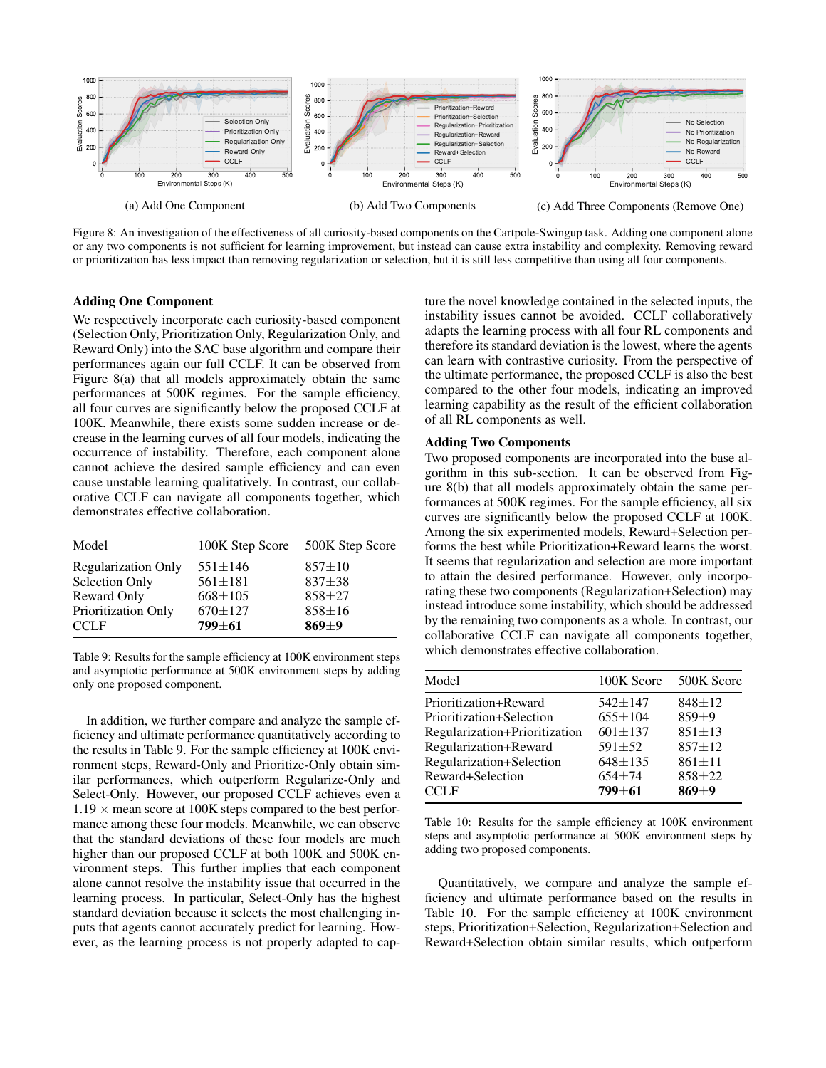<span id="page-15-0"></span>

Figure 8: An investigation of the effectiveness of all curiosity-based components on the Cartpole-Swingup task. Adding one component alone or any two components is not sufficient for learning improvement, but instead can cause extra instability and complexity. Removing reward or prioritization has less impact than removing regularization or selection, but it is still less competitive than using all four components.

#### Adding One Component

We respectively incorporate each curiosity-based component (Selection Only, Prioritization Only, Regularization Only, and Reward Only) into the SAC base algorithm and compare their performances again our full CCLF. It can be observed from Figure [8\(](#page-15-0)a) that all models approximately obtain the same performances at 500K regimes. For the sample efficiency, all four curves are significantly below the proposed CCLF at 100K. Meanwhile, there exists some sudden increase or decrease in the learning curves of all four models, indicating the occurrence of instability. Therefore, each component alone cannot achieve the desired sample efficiency and can even cause unstable learning qualitatively. In contrast, our collaborative CCLF can navigate all components together, which demonstrates effective collaboration.

<span id="page-15-1"></span>

| Model                      | 100K Step Score | 500K Step Score |
|----------------------------|-----------------|-----------------|
| <b>Regularization Only</b> | $551 \pm 146$   | $857 + 10$      |
| Selection Only             | $561 \pm 181$   | $837 + 38$      |
| Reward Only                | $668 \pm 105$   | $858 + 27$      |
| Prioritization Only        | $670 \pm 127$   | $858 \pm 16$    |
| <b>CCLF</b>                | $799 + 61$      | $869 + 9$       |

Table 9: Results for the sample efficiency at 100K environment steps and asymptotic performance at 500K environment steps by adding only one proposed component.

In addition, we further compare and analyze the sample efficiency and ultimate performance quantitatively according to the results in Table [9.](#page-15-1) For the sample efficiency at 100K environment steps, Reward-Only and Prioritize-Only obtain similar performances, which outperform Regularize-Only and Select-Only. However, our proposed CCLF achieves even a  $1.19 \times$  mean score at 100K steps compared to the best performance among these four models. Meanwhile, we can observe that the standard deviations of these four models are much higher than our proposed CCLF at both 100K and 500K environment steps. This further implies that each component alone cannot resolve the instability issue that occurred in the learning process. In particular, Select-Only has the highest standard deviation because it selects the most challenging inputs that agents cannot accurately predict for learning. However, as the learning process is not properly adapted to capture the novel knowledge contained in the selected inputs, the instability issues cannot be avoided. CCLF collaboratively adapts the learning process with all four RL components and therefore its standard deviation is the lowest, where the agents can learn with contrastive curiosity. From the perspective of the ultimate performance, the proposed CCLF is also the best compared to the other four models, indicating an improved learning capability as the result of the efficient collaboration of all RL components as well.

#### Adding Two Components

Two proposed components are incorporated into the base algorithm in this sub-section. It can be observed from Figure [8\(](#page-15-0)b) that all models approximately obtain the same performances at 500K regimes. For the sample efficiency, all six curves are significantly below the proposed CCLF at 100K. Among the six experimented models, Reward+Selection performs the best while Prioritization+Reward learns the worst. It seems that regularization and selection are more important to attain the desired performance. However, only incorporating these two components (Regularization+Selection) may instead introduce some instability, which should be addressed by the remaining two components as a whole. In contrast, our collaborative CCLF can navigate all components together, which demonstrates effective collaboration.

<span id="page-15-2"></span>

| Model                         | 100K Score  | 500K Score   |
|-------------------------------|-------------|--------------|
| Prioritization+Reward         | $542 + 147$ | $848 + 12$   |
| Prioritization+Selection      | $655+104$   | $859+9$      |
| Regularization+Prioritization | $601 + 137$ | $851 + 13$   |
| Regularization+Reward         | $591 + 52$  | $857 + 12$   |
| Regularization+Selection      | $648 + 135$ | $861 \pm 11$ |
| Reward+Selection              | $654 + 74$  | $858 + 22$   |
| CCLF                          | $799 + 61$  | $869 + 9$    |
|                               |             |              |

Table 10: Results for the sample efficiency at 100K environment steps and asymptotic performance at 500K environment steps by adding two proposed components.

Quantitatively, we compare and analyze the sample efficiency and ultimate performance based on the results in Table [10.](#page-15-2) For the sample efficiency at 100K environment steps, Prioritization+Selection, Regularization+Selection and Reward+Selection obtain similar results, which outperform